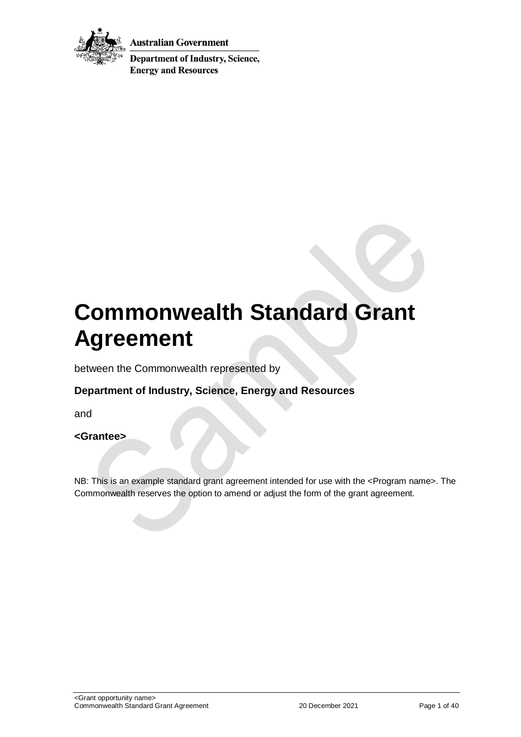

Australian Government

**Department of Industry, Science, Energy and Resources** 

# **Commonwealth Standard Grant Agreement**

between the Commonwealth represented by

## **Department of Industry, Science, Energy and Resources**

and

#### **<Grantee>**

NB: This is an example standard grant agreement intended for use with the <Program name>. The Commonwealth reserves the option to amend or adjust the form of the grant agreement.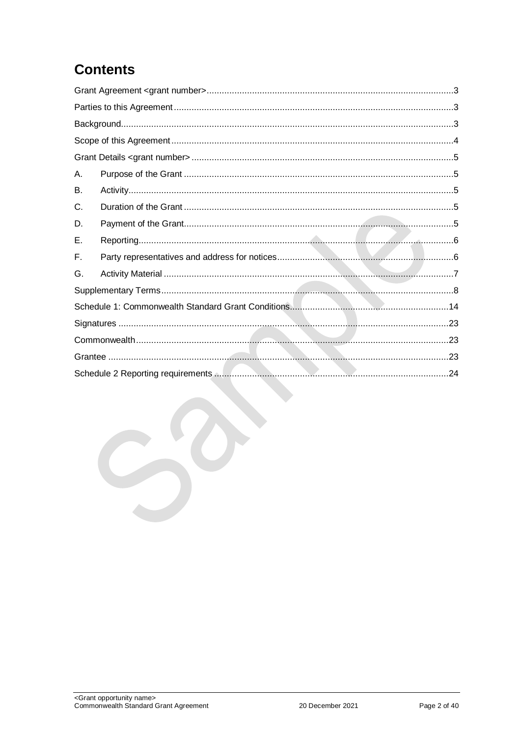## **Contents**

| А. |  |
|----|--|
| В. |  |
| C. |  |
| D. |  |
| Е. |  |
| F. |  |
| G. |  |
|    |  |
|    |  |
|    |  |
|    |  |
|    |  |
|    |  |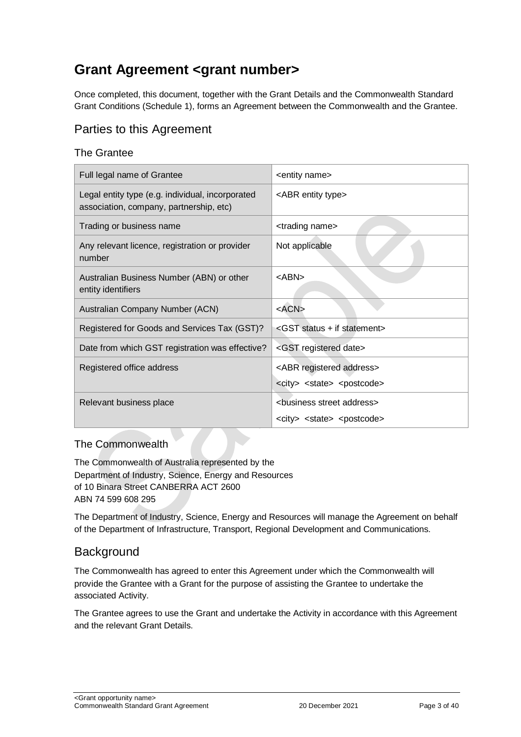## <span id="page-2-0"></span>**Grant Agreement <grant number>**

Once completed, this document, together with the Grant Details and the Commonwealth Standard Grant Conditions (Schedule 1), forms an Agreement between the Commonwealth and the Grantee.

## <span id="page-2-1"></span>Parties to this Agreement

#### The Grantee

| Full legal name of Grantee                                                                  | <entity name=""></entity>                                                                          |
|---------------------------------------------------------------------------------------------|----------------------------------------------------------------------------------------------------|
| Legal entity type (e.g. individual, incorporated<br>association, company, partnership, etc) | <abr entity="" type=""></abr>                                                                      |
| Trading or business name                                                                    | <trading name=""></trading>                                                                        |
| Any relevant licence, registration or provider<br>number                                    | Not applicable                                                                                     |
| Australian Business Number (ABN) or other<br>entity identifiers                             | $<$ ABN $>$                                                                                        |
| Australian Company Number (ACN)                                                             | $<$ ACN $>$                                                                                        |
| Registered for Goods and Services Tax (GST)?                                                | <gst +="" if="" statement="" status=""></gst>                                                      |
| Date from which GST registration was effective?                                             | <gst date="" registered=""></gst>                                                                  |
| Registered office address                                                                   | <abr address="" registered=""><br/><city> <state> <postcode></postcode></state></city></abr>       |
| Relevant business place                                                                     | <business address="" street=""><br/><city> <state> <postcode></postcode></state></city></business> |

#### The Commonwealth

The Commonwealth of Australia represented by the Department of Industry, Science, Energy and Resources of 10 Binara Street CANBERRA ACT 2600 ABN 74 599 608 295

The Department of Industry, Science, Energy and Resources will manage the Agreement on behalf of the Department of Infrastructure, Transport, Regional Development and Communications.

## <span id="page-2-2"></span>**Background**

The Commonwealth has agreed to enter this Agreement under which the Commonwealth will provide the Grantee with a Grant for the purpose of assisting the Grantee to undertake the associated Activity.

The Grantee agrees to use the Grant and undertake the Activity in accordance with this Agreement and the relevant Grant Details.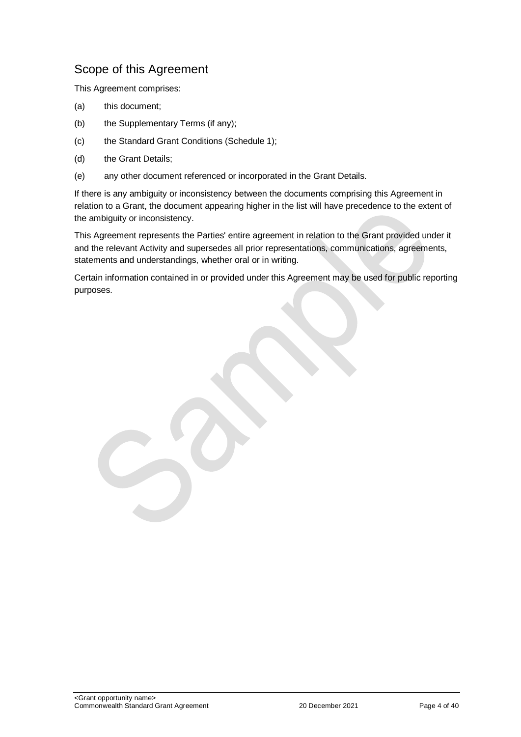## <span id="page-3-0"></span>Scope of this Agreement

This Agreement comprises:

- (a) this document;
- (b) the Supplementary Terms (if any);
- (c) the Standard Grant Conditions (Schedule 1);
- (d) the Grant Details;
- (e) any other document referenced or incorporated in the Grant Details.

If there is any ambiguity or inconsistency between the documents comprising this Agreement in relation to a Grant, the document appearing higher in the list will have precedence to the extent of the ambiguity or inconsistency.

This Agreement represents the Parties' entire agreement in relation to the Grant provided under it and the relevant Activity and supersedes all prior representations, communications, agreements, statements and understandings, whether oral or in writing.

Certain information contained in or provided under this Agreement may be used for public reporting purposes.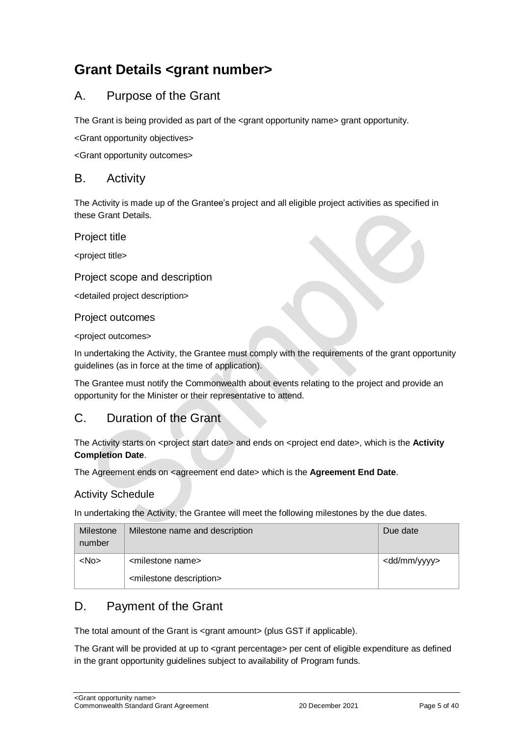## <span id="page-4-0"></span>**Grant Details <grant number>**

## <span id="page-4-1"></span>A. Purpose of the Grant

The Grant is being provided as part of the  $\leq$  arant opportunity name arant opportunity.

<Grant opportunity objectives>

<Grant opportunity outcomes>

#### <span id="page-4-2"></span>B. Activity

The Activity is made up of the Grantee's project and all eligible project activities as specified in these Grant Details.

Project title

<project title>

#### Project scope and description

<detailed project description>

Project outcomes

<project outcomes>

In undertaking the Activity, the Grantee must comply with the requirements of the grant opportunity guidelines (as in force at the time of application).

The Grantee must notify the Commonwealth about events relating to the project and provide an opportunity for the Minister or their representative to attend.

## <span id="page-4-3"></span>C. Duration of the Grant

The Activity starts on <project start date> and ends on <project end date>, which is the Activity **Completion Date**.

The Agreement ends on <agreement end date> which is the **Agreement End Date**.

#### Activity Schedule

In undertaking the Activity, the Grantee will meet the following milestones by the due dates.

| Milestone<br>number | Milestone name and description         | Due date                |
|---------------------|----------------------------------------|-------------------------|
| $<$ No $>$          | <milestone name=""></milestone>        | <dd mm="" yyyy=""></dd> |
|                     | <milestone description=""></milestone> |                         |

## <span id="page-4-4"></span>D. Payment of the Grant

The total amount of the Grant is <grant amount> (plus GST if applicable).

The Grant will be provided at up to <grant percentage> per cent of eligible expenditure as defined in the grant opportunity guidelines subject to availability of Program funds.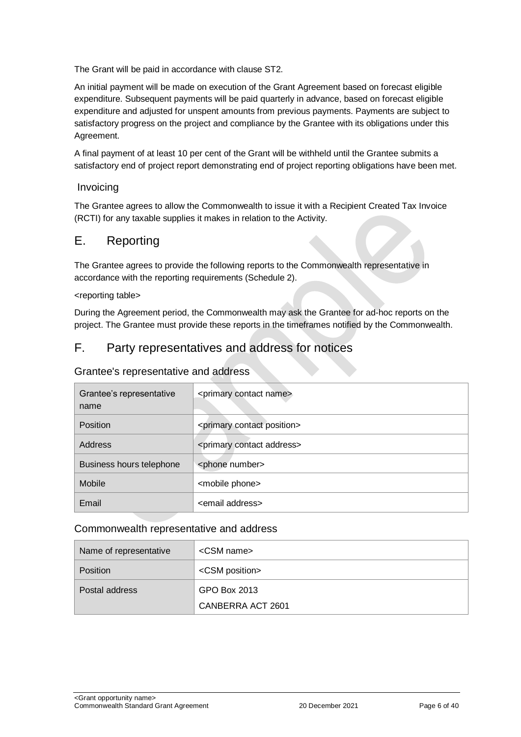The Grant will be paid in accordance with clause [ST2.](#page-7-1)

An initial payment will be made on execution of the Grant Agreement based on forecast eligible expenditure. Subsequent payments will be paid quarterly in advance, based on forecast eligible expenditure and adjusted for unspent amounts from previous payments. Payments are subject to satisfactory progress on the project and compliance by the Grantee with its obligations under this Agreement.

A final payment of at least 10 per cent of the Grant will be withheld until the Grantee submits a satisfactory end of project report demonstrating end of project reporting obligations have been met.

#### Invoicing

The Grantee agrees to allow the Commonwealth to issue it with a Recipient Created Tax Invoice (RCTI) for any taxable supplies it makes in relation to the Activity.

## <span id="page-5-0"></span>E. Reporting

The Grantee agrees to provide the following reports to the Commonwealth representative in accordance with the reporting requirements (Schedule 2).

<reporting table>

During the Agreement period, the Commonwealth may ask the Grantee for ad-hoc reports on the project. The Grantee must provide these reports in the timeframes notified by the Commonwealth.

## <span id="page-5-1"></span>F. Party representatives and address for notices

#### Grantee's representative and address

| Grantee's representative<br>name | <primary contact="" name=""></primary>     |  |  |
|----------------------------------|--------------------------------------------|--|--|
| <b>Position</b>                  | <primary contact="" position=""></primary> |  |  |
| Address                          | <primary address="" contact=""></primary>  |  |  |
| Business hours telephone         | <phone number=""></phone>                  |  |  |
| Mobile                           | <mobile phone=""></mobile>                 |  |  |
| Email                            | <email address=""></email>                 |  |  |

#### Commonwealth representative and address

| Name of representative | $\leq$ CSM name $\geq$  |  |  |
|------------------------|-------------------------|--|--|
| <b>Position</b>        | <csm position=""></csm> |  |  |
| Postal address         | GPO Box 2013            |  |  |
|                        | CANBERRA ACT 2601       |  |  |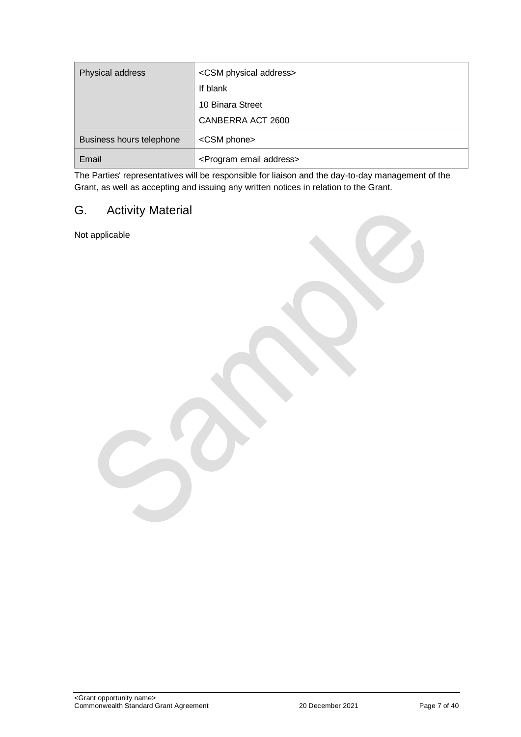| Physical address         | <csm address="" physical=""></csm>      |  |  |
|--------------------------|-----------------------------------------|--|--|
|                          | If blank                                |  |  |
|                          | 10 Binara Street                        |  |  |
|                          | CANBERRA ACT 2600                       |  |  |
| Business hours telephone | <csm phone=""></csm>                    |  |  |
| Email                    | <program address="" email=""></program> |  |  |

The Parties' representatives will be responsible for liaison and the day-to-day management of the Grant, as well as accepting and issuing any written notices in relation to the Grant.

## <span id="page-6-0"></span>G. Activity Material

Not applicable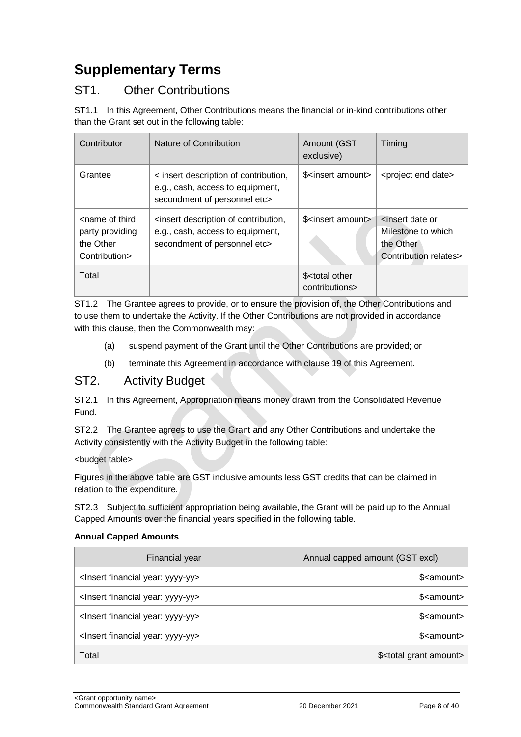## <span id="page-7-0"></span>**Supplementary Terms**

## ST1. Other Contributions

ST1.1 In this Agreement, Other Contributions means the financial or in-kind contributions other than the Grant set out in the following table:

| Contributor                                                                       | Nature of Contribution                                                                                                         | Amount (GST<br>exclusive)                                                                                                       | Timing                                                                      |
|-----------------------------------------------------------------------------------|--------------------------------------------------------------------------------------------------------------------------------|---------------------------------------------------------------------------------------------------------------------------------|-----------------------------------------------------------------------------|
| Grantee                                                                           | < insert description of contribution,<br>e.g., cash, access to equipment,<br>secondment of personnel etc>                      | \$ <insert amount<="" td=""><td><project date="" end=""></project></td></insert>                                                | <project date="" end=""></project>                                          |
| <name of="" third<br="">party providing<br/>the Other<br/>Contribution&gt;</name> | <insert contribution,<br="" description="" of="">e.g., cash, access to equipment,<br/>secondment of personnel etc&gt;</insert> | \$ <insert amount<="" td=""><td>sinsert date or<br/>Milestone to which<br/>the Other<br/>Contribution relates&gt;</td></insert> | sinsert date or<br>Milestone to which<br>the Other<br>Contribution relates> |
| Total                                                                             |                                                                                                                                | \$ <total other<br="">contributions&gt;</total>                                                                                 |                                                                             |

ST1.2 The Grantee agrees to provide, or to ensure the provision of, the Other Contributions and to use them to undertake the Activity. If the Other Contributions are not provided in accordance with this clause, then the Commonwealth may:

- (a) suspend payment of the Grant until the Other Contributions are provided; or
- (b) terminate this Agreement in accordance with clause 19 of this Agreement.

#### <span id="page-7-1"></span>ST2. Activity Budget

ST2.1 In this Agreement, Appropriation means money drawn from the Consolidated Revenue Fund.

ST2.2 The Grantee agrees to use the Grant and any Other Contributions and undertake the Activity consistently with the Activity Budget in the following table:

#### <budget table>

Figures in the above table are GST inclusive amounts less GST credits that can be claimed in relation to the expenditure.

ST2.3 Subject to sufficient appropriation being available, the Grant will be paid up to the Annual Capped Amounts over the financial years specified in the following table.

#### **Annual Capped Amounts**

| Financial year                                     | Annual capped amount (GST excl)       |  |  |
|----------------------------------------------------|---------------------------------------|--|--|
| <lnsert financial="" year:="" yyyy-yy=""></lnsert> | \$ <amount></amount>                  |  |  |
| <lnsert financial="" year:="" yyyy-yy=""></lnsert> | \$ <amount></amount>                  |  |  |
| <lnsert financial="" year:="" yyyy-yy=""></lnsert> | \$ <amount></amount>                  |  |  |
| <lnsert financial="" year:="" yyyy-yy=""></lnsert> | \$ <amount></amount>                  |  |  |
| Total                                              | \$ <total amount="" grant=""></total> |  |  |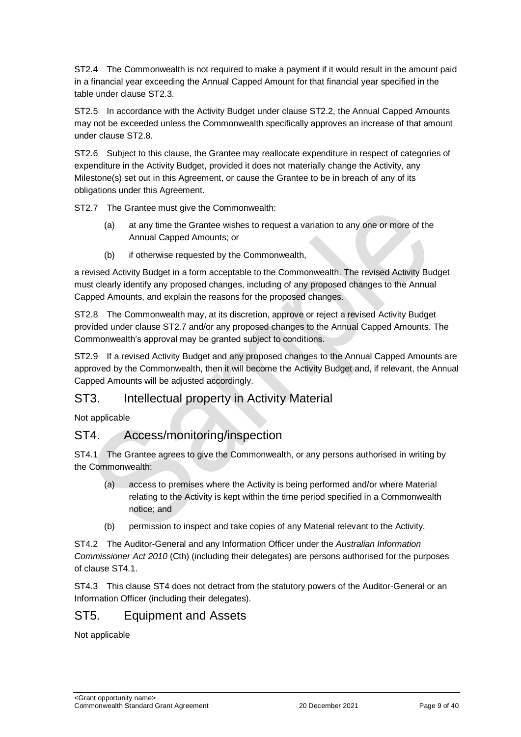ST2.4 The Commonwealth is not required to make a payment if it would result in the amount paid in a financial year exceeding the Annual Capped Amount for that financial year specified in the table under clause ST2.3.

ST2.5 In accordance with the Activity Budget under clause ST2.2, the Annual Capped Amounts may not be exceeded unless the Commonwealth specifically approves an increase of that amount under clause ST2.8.

ST2.6 Subject to this clause, the Grantee may reallocate expenditure in respect of categories of expenditure in the Activity Budget, provided it does not materially change the Activity, any Milestone(s) set out in this Agreement, or cause the Grantee to be in breach of any of its obligations under this Agreement.

ST2.7 The Grantee must give the Commonwealth:

- (a) at any time the Grantee wishes to request a variation to any one or more of the Annual Capped Amounts; or
- (b) if otherwise requested by the Commonwealth,

a revised Activity Budget in a form acceptable to the Commonwealth. The revised Activity Budget must clearly identify any proposed changes, including of any proposed changes to the Annual Capped Amounts, and explain the reasons for the proposed changes.

ST2.8 The Commonwealth may, at its discretion, approve or reject a revised Activity Budget provided under clause ST2.7 and/or any proposed changes to the Annual Capped Amounts. The Commonwealth's approval may be granted subject to conditions.

ST2.9 If a revised Activity Budget and any proposed changes to the Annual Capped Amounts are approved by the Commonwealth, then it will become the Activity Budget and, if relevant, the Annual Capped Amounts will be adjusted accordingly.

## ST3. Intellectual property in Activity Material

Not applicable

## ST4. Access/monitoring/inspection

ST4.1 The Grantee agrees to give the Commonwealth, or any persons authorised in writing by the Commonwealth:

- (a) access to premises where the Activity is being performed and/or where Material relating to the Activity is kept within the time period specified in a Commonwealth notice; and
- (b) permission to inspect and take copies of any Material relevant to the Activity.

ST4.2 The Auditor-General and any Information Officer under the *Australian Information Commissioner Act 2010* (Cth) (including their delegates) are persons authorised for the purposes of clause ST4.1.

ST4.3 This clause ST4 does not detract from the statutory powers of the Auditor-General or an Information Officer (including their delegates).

## ST5. Equipment and Assets

Not applicable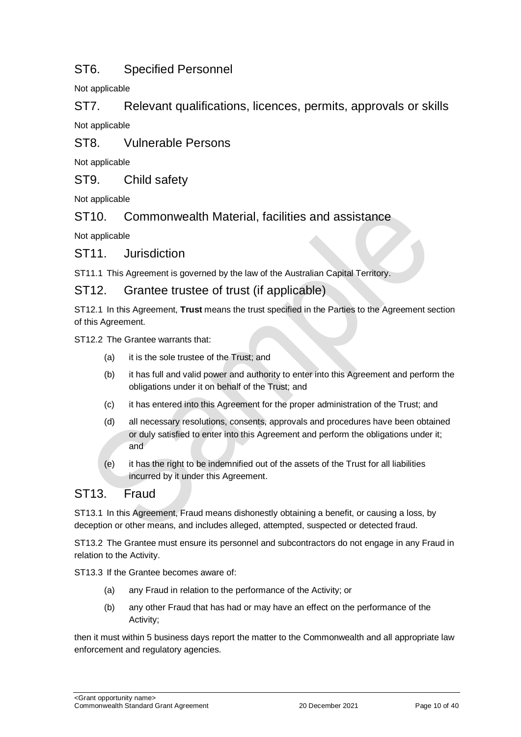## ST6. Specified Personnel

Not applicable

ST7. Relevant qualifications, licences, permits, approvals or skills Not applicable

ST8. Vulnerable Persons

Not applicable

ST9. Child safety

Not applicable

ST10. Commonwealth Material, facilities and assistance

Not applicable

ST11. Jurisdiction

ST11.1 This Agreement is governed by the law of the Australian Capital Territory.

#### ST12. Grantee trustee of trust (if applicable)

ST12.1 In this Agreement, **Trust** means the trust specified in the Parties to the Agreement section of this Agreement.

ST12.2 The Grantee warrants that:

- (a) it is the sole trustee of the Trust; and
- (b) it has full and valid power and authority to enter into this Agreement and perform the obligations under it on behalf of the Trust; and
- (c) it has entered into this Agreement for the proper administration of the Trust; and
- (d) all necessary resolutions, consents, approvals and procedures have been obtained or duly satisfied to enter into this Agreement and perform the obligations under it; and
- (e) it has the right to be indemnified out of the assets of the Trust for all liabilities incurred by it under this Agreement.

### ST13. Fraud

ST13.1 In this Agreement, Fraud means dishonestly obtaining a benefit, or causing a loss, by deception or other means, and includes alleged, attempted, suspected or detected fraud.

ST13.2 The Grantee must ensure its personnel and subcontractors do not engage in any Fraud in relation to the Activity.

ST13.3 If the Grantee becomes aware of:

- (a) any Fraud in relation to the performance of the Activity; or
- (b) any other Fraud that has had or may have an effect on the performance of the Activity;

then it must within 5 business days report the matter to the Commonwealth and all appropriate law enforcement and regulatory agencies.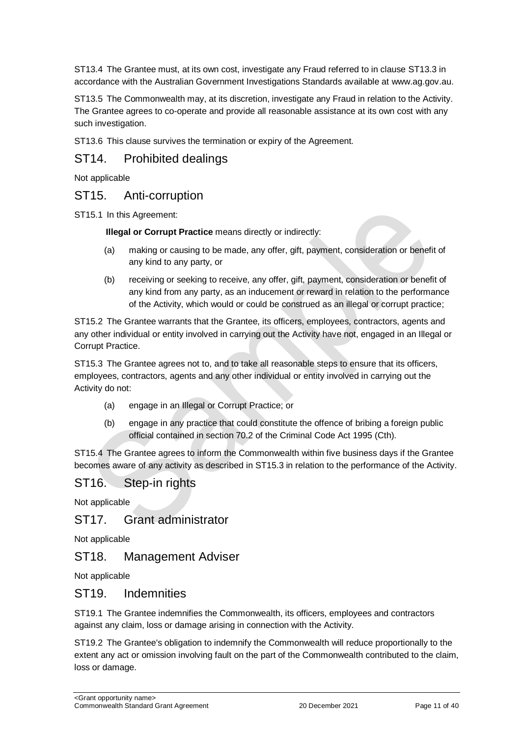ST13.4 The Grantee must, at its own cost, investigate any Fraud referred to in clause ST13.3 in accordance with the Australian Government Investigations Standards available at [www.ag.gov.au.](http://www.ag.gov.au/)

ST13.5 The Commonwealth may, at its discretion, investigate any Fraud in relation to the Activity. The Grantee agrees to co-operate and provide all reasonable assistance at its own cost with any such investigation.

ST13.6 This clause survives the termination or expiry of the Agreement.

## ST14. Prohibited dealings

Not applicable

## ST15. Anti-corruption

ST15.1 In this Agreement:

**Illegal or Corrupt Practice** means directly or indirectly:

- (a) making or causing to be made, any offer, gift, payment, consideration or benefit of any kind to any party, or
- (b) receiving or seeking to receive, any offer, gift, payment, consideration or benefit of any kind from any party, as an inducement or reward in relation to the performance of the Activity, which would or could be construed as an illegal or corrupt practice;

ST15.2 The Grantee warrants that the Grantee, its officers, employees, contractors, agents and any other individual or entity involved in carrying out the Activity have not, engaged in an Illegal or Corrupt Practice.

ST15.3 The Grantee agrees not to, and to take all reasonable steps to ensure that its officers, employees, contractors, agents and any other individual or entity involved in carrying out the Activity do not:

- (a) engage in an Illegal or Corrupt Practice; or
- (b) engage in any practice that could constitute the offence of bribing a foreign public official contained in section 70.2 of the Criminal Code Act 1995 (Cth).

ST15.4 The Grantee agrees to inform the Commonwealth within five business days if the Grantee becomes aware of any activity as described in ST15.3 in relation to the performance of the Activity.

## ST16. Step-in rights

Not applicable

#### ST17. Grant administrator

Not applicable

#### ST18. Management Adviser

Not applicable

#### ST19. Indemnities

ST19.1 The Grantee indemnifies the Commonwealth, its officers, employees and contractors against any claim, loss or damage arising in connection with the Activity.

ST19.2 The Grantee's obligation to indemnify the Commonwealth will reduce proportionally to the extent any act or omission involving fault on the part of the Commonwealth contributed to the claim, loss or damage.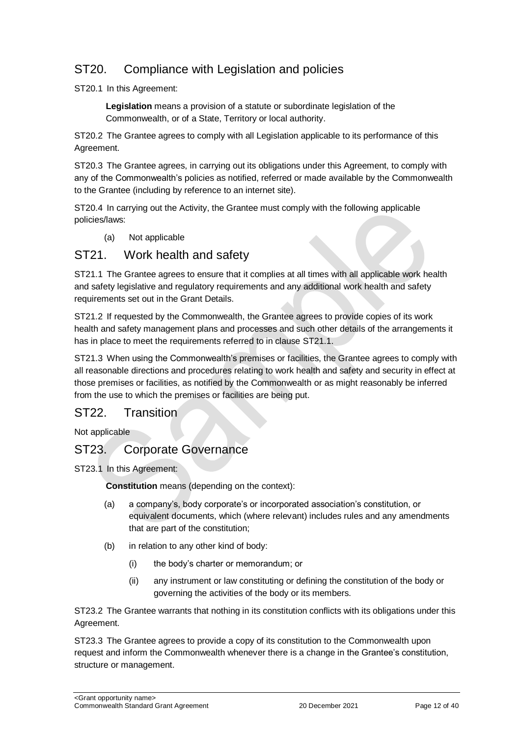## ST20. Compliance with Legislation and policies

ST20.1 In this Agreement:

**Legislation** means a provision of a statute or subordinate legislation of the Commonwealth, or of a State, Territory or local authority.

ST20.2 The Grantee agrees to comply with all Legislation applicable to its performance of this Agreement.

ST20.3 The Grantee agrees, in carrying out its obligations under this Agreement, to comply with any of the Commonwealth's policies as notified, referred or made available by the Commonwealth to the Grantee (including by reference to an internet site).

ST20.4 In carrying out the Activity, the Grantee must comply with the following applicable policies/laws:

(a) Not applicable

### ST21. Work health and safety

ST21.1 The Grantee agrees to ensure that it complies at all times with all applicable work health and safety legislative and regulatory requirements and any additional work health and safety requirements set out in the Grant Details.

ST21.2 If requested by the Commonwealth, the Grantee agrees to provide copies of its work health and safety management plans and processes and such other details of the arrangements it has in place to meet the requirements referred to in clause ST21.1.

ST21.3 When using the Commonwealth's premises or facilities, the Grantee agrees to comply with all reasonable directions and procedures relating to work health and safety and security in effect at those premises or facilities, as notified by the Commonwealth or as might reasonably be inferred from the use to which the premises or facilities are being put.

## ST22. Transition

Not applicable

## ST23. Corporate Governance

ST23.1 In this Agreement:

**Constitution** means (depending on the context):

- (a) a company's, body corporate's or incorporated association's constitution, or equivalent documents, which (where relevant) includes rules and any amendments that are part of the constitution;
- (b) in relation to any other kind of body:
	- (i) the body's charter or memorandum; or
	- (ii) any instrument or law constituting or defining the constitution of the body or governing the activities of the body or its members.

ST23.2 The Grantee warrants that nothing in its constitution conflicts with its obligations under this Agreement.

ST23.3 The Grantee agrees to provide a copy of its constitution to the Commonwealth upon request and inform the Commonwealth whenever there is a change in the Grantee's constitution, structure or management.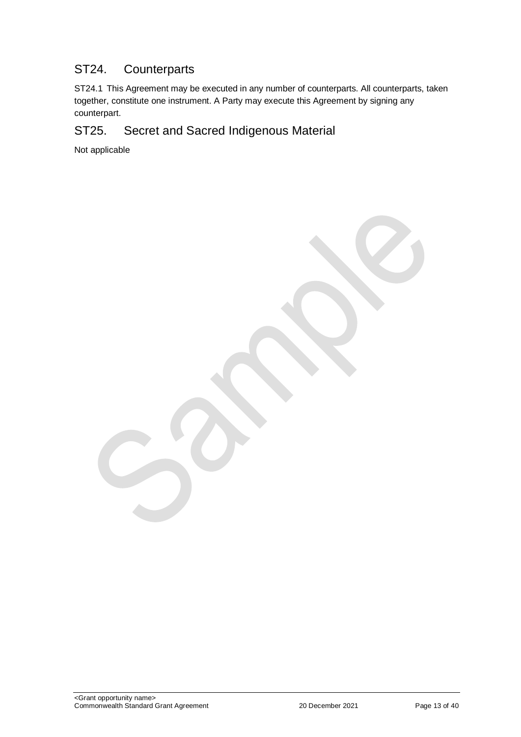## ST24. Counterparts

ST24.1 This Agreement may be executed in any number of counterparts. All counterparts, taken together, constitute one instrument. A Party may execute this Agreement by signing any counterpart.

## ST25. Secret and Sacred Indigenous Material

Not applicable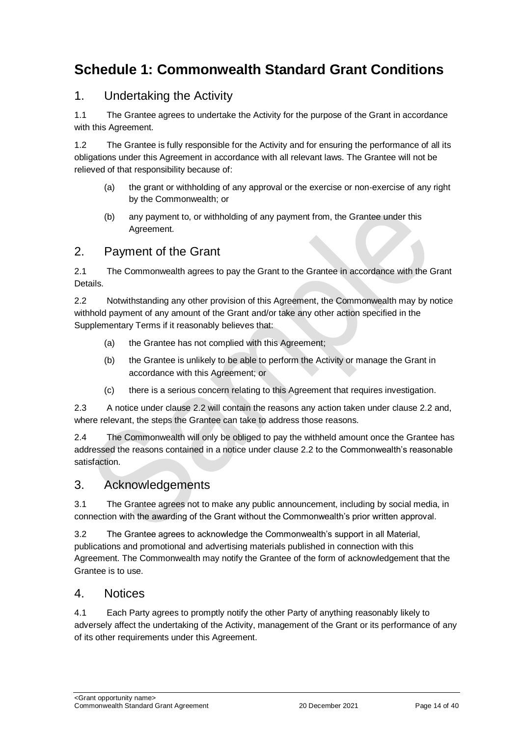## <span id="page-13-0"></span>**Schedule 1: Commonwealth Standard Grant Conditions**

## 1. Undertaking the Activity

1.1 The Grantee agrees to undertake the Activity for the purpose of the Grant in accordance with this Agreement.

1.2 The Grantee is fully responsible for the Activity and for ensuring the performance of all its obligations under this Agreement in accordance with all relevant laws. The Grantee will not be relieved of that responsibility because of:

- (a) the grant or withholding of any approval or the exercise or non‐exercise of any right by the Commonwealth; or
- (b) any payment to, or withholding of any payment from, the Grantee under this Agreement.

## 2. Payment of the Grant

2.1 The Commonwealth agrees to pay the Grant to the Grantee in accordance with the Grant Details.

2.2 Notwithstanding any other provision of this Agreement, the Commonwealth may by notice withhold payment of any amount of the Grant and/or take any other action specified in the Supplementary Terms if it reasonably believes that:

- (a) the Grantee has not complied with this Agreement;
- (b) the Grantee is unlikely to be able to perform the Activity or manage the Grant in accordance with this Agreement; or
- (c) there is a serious concern relating to this Agreement that requires investigation.

2.3 A notice under clause 2.2 will contain the reasons any action taken under clause 2.2 and, where relevant, the steps the Grantee can take to address those reasons.

2.4 The Commonwealth will only be obliged to pay the withheld amount once the Grantee has addressed the reasons contained in a notice under clause 2.2 to the Commonwealth's reasonable satisfaction.

## 3. Acknowledgements

3.1 The Grantee agrees not to make any public announcement, including by social media, in connection with the awarding of the Grant without the Commonwealth's prior written approval.

3.2 The Grantee agrees to acknowledge the Commonwealth's support in all Material, publications and promotional and advertising materials published in connection with this Agreement. The Commonwealth may notify the Grantee of the form of acknowledgement that the Grantee is to use.

#### 4. Notices

4.1 Each Party agrees to promptly notify the other Party of anything reasonably likely to adversely affect the undertaking of the Activity, management of the Grant or its performance of any of its other requirements under this Agreement.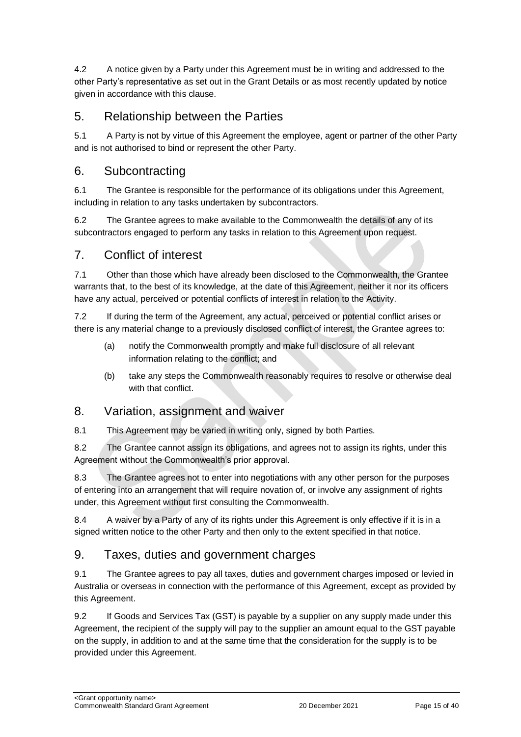4.2 A notice given by a Party under this Agreement must be in writing and addressed to the other Party's representative as set out in the Grant Details or as most recently updated by notice given in accordance with this clause.

## 5. Relationship between the Parties

5.1 A Party is not by virtue of this Agreement the employee, agent or partner of the other Party and is not authorised to bind or represent the other Party.

## 6. Subcontracting

6.1 The Grantee is responsible for the performance of its obligations under this Agreement, including in relation to any tasks undertaken by subcontractors.

6.2 The Grantee agrees to make available to the Commonwealth the details of any of its subcontractors engaged to perform any tasks in relation to this Agreement upon request.

## 7. Conflict of interest

7.1 Other than those which have already been disclosed to the Commonwealth, the Grantee warrants that, to the best of its knowledge, at the date of this Agreement, neither it nor its officers have any actual, perceived or potential conflicts of interest in relation to the Activity.

7.2 If during the term of the Agreement, any actual, perceived or potential conflict arises or there is any material change to a previously disclosed conflict of interest, the Grantee agrees to:

- (a) notify the Commonwealth promptly and make full disclosure of all relevant information relating to the conflict; and
- (b) take any steps the Commonwealth reasonably requires to resolve or otherwise deal with that conflict.

#### 8. Variation, assignment and waiver

8.1 This Agreement may be varied in writing only, signed by both Parties.

8.2 The Grantee cannot assign its obligations, and agrees not to assign its rights, under this Agreement without the Commonwealth's prior approval.

8.3 The Grantee agrees not to enter into negotiations with any other person for the purposes of entering into an arrangement that will require novation of, or involve any assignment of rights under, this Agreement without first consulting the Commonwealth.

8.4 A waiver by a Party of any of its rights under this Agreement is only effective if it is in a signed written notice to the other Party and then only to the extent specified in that notice.

## 9. Taxes, duties and government charges

9.1 The Grantee agrees to pay all taxes, duties and government charges imposed or levied in Australia or overseas in connection with the performance of this Agreement, except as provided by this Agreement.

9.2 If Goods and Services Tax (GST) is payable by a supplier on any supply made under this Agreement, the recipient of the supply will pay to the supplier an amount equal to the GST payable on the supply, in addition to and at the same time that the consideration for the supply is to be provided under this Agreement.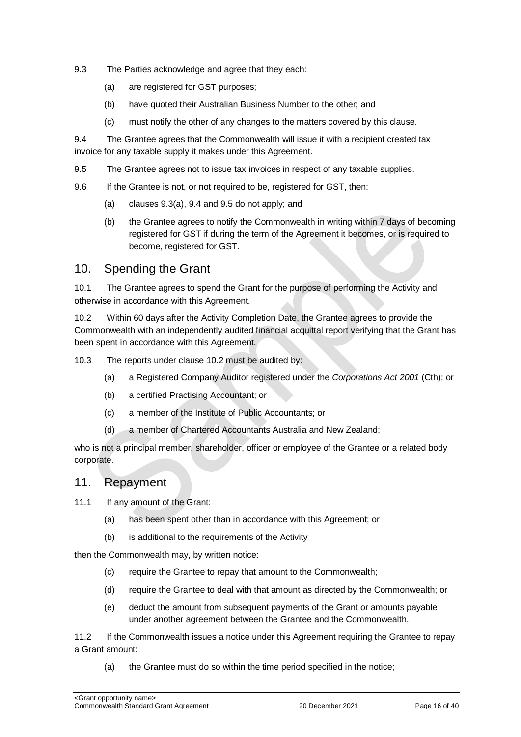- 9.3 The Parties acknowledge and agree that they each:
	- (a) are registered for GST purposes;
	- (b) have quoted their Australian Business Number to the other; and
	- (c) must notify the other of any changes to the matters covered by this clause.

9.4 The Grantee agrees that the Commonwealth will issue it with a recipient created tax invoice for any taxable supply it makes under this Agreement.

9.5 The Grantee agrees not to issue tax invoices in respect of any taxable supplies.

9.6 If the Grantee is not, or not required to be, registered for GST, then:

- (a) clauses 9.3(a), 9.4 and 9.5 do not apply; and
- (b) the Grantee agrees to notify the Commonwealth in writing within 7 days of becoming registered for GST if during the term of the Agreement it becomes, or is required to become, registered for GST.

### 10. Spending the Grant

10.1 The Grantee agrees to spend the Grant for the purpose of performing the Activity and otherwise in accordance with this Agreement.

10.2 Within 60 days after the Activity Completion Date, the Grantee agrees to provide the Commonwealth with an independently audited financial acquittal report verifying that the Grant has been spent in accordance with this Agreement.

10.3 The reports under clause 10.2 must be audited by:

- (a) a Registered Company Auditor registered under the *Corporations Act 2001* (Cth); or
- (b) a certified Practising Accountant; or
- (c) a member of the Institute of Public Accountants; or
- (d) a member of Chartered Accountants Australia and New Zealand;

who is not a principal member, shareholder, officer or employee of the Grantee or a related body corporate.

#### 11. Repayment

11.1 If any amount of the Grant:

- (a) has been spent other than in accordance with this Agreement; or
- (b) is additional to the requirements of the Activity

then the Commonwealth may, by written notice:

- (c) require the Grantee to repay that amount to the Commonwealth;
- (d) require the Grantee to deal with that amount as directed by the Commonwealth; or
- (e) deduct the amount from subsequent payments of the Grant or amounts payable under another agreement between the Grantee and the Commonwealth.

11.2 If the Commonwealth issues a notice under this Agreement requiring the Grantee to repay a Grant amount:

(a) the Grantee must do so within the time period specified in the notice;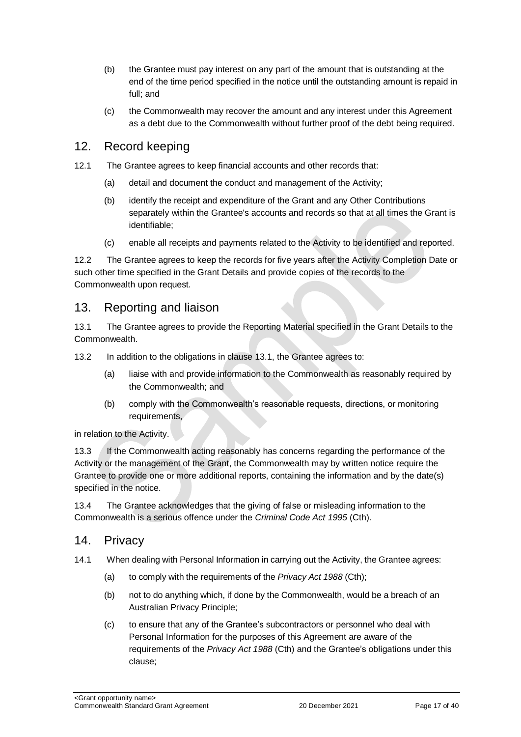- (b) the Grantee must pay interest on any part of the amount that is outstanding at the end of the time period specified in the notice until the outstanding amount is repaid in full; and
- (c) the Commonwealth may recover the amount and any interest under this Agreement as a debt due to the Commonwealth without further proof of the debt being required.

### 12. Record keeping

- 12.1 The Grantee agrees to keep financial accounts and other records that:
	- (a) detail and document the conduct and management of the Activity;
	- (b) identify the receipt and expenditure of the Grant and any Other Contributions separately within the Grantee's accounts and records so that at all times the Grant is identifiable;
	- (c) enable all receipts and payments related to the Activity to be identified and reported.

12.2 The Grantee agrees to keep the records for five years after the Activity Completion Date or such other time specified in the Grant Details and provide copies of the records to the Commonwealth upon request.

#### 13. Reporting and liaison

13.1 The Grantee agrees to provide the Reporting Material specified in the Grant Details to the Commonwealth.

13.2 In addition to the obligations in clause 13.1, the Grantee agrees to:

- (a) liaise with and provide information to the Commonwealth as reasonably required by the Commonwealth; and
- (b) comply with the Commonwealth's reasonable requests, directions, or monitoring requirements,

in relation to the Activity.

13.3 If the Commonwealth acting reasonably has concerns regarding the performance of the Activity or the management of the Grant, the Commonwealth may by written notice require the Grantee to provide one or more additional reports, containing the information and by the date(s) specified in the notice.

13.4 The Grantee acknowledges that the giving of false or misleading information to the Commonwealth is a serious offence under the *Criminal Code Act 1995* (Cth).

#### 14. Privacy

- 14.1 When dealing with Personal Information in carrying out the Activity, the Grantee agrees:
	- (a) to comply with the requirements of the *Privacy Act 1988* (Cth);
	- (b) not to do anything which, if done by the Commonwealth, would be a breach of an Australian Privacy Principle;
	- (c) to ensure that any of the Grantee's subcontractors or personnel who deal with Personal Information for the purposes of this Agreement are aware of the requirements of the *Privacy Act 1988* (Cth) and the Grantee's obligations under this clause;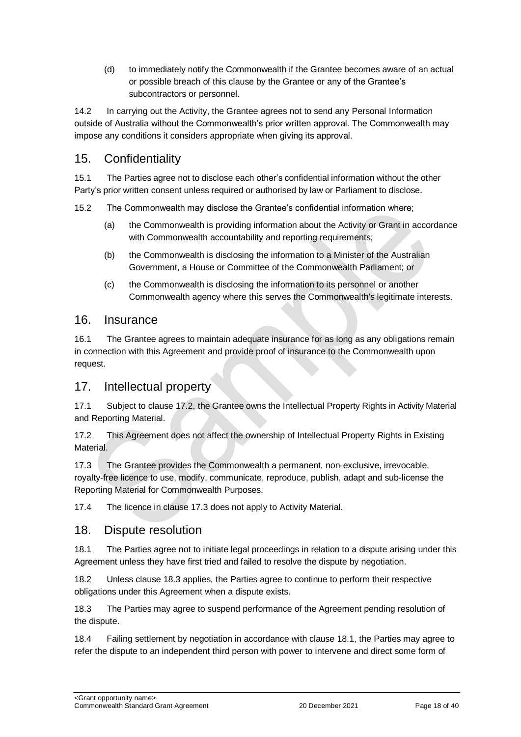(d) to immediately notify the Commonwealth if the Grantee becomes aware of an actual or possible breach of this clause by the Grantee or any of the Grantee's subcontractors or personnel.

14.2 In carrying out the Activity, the Grantee agrees not to send any Personal Information outside of Australia without the Commonwealth's prior written approval. The Commonwealth may impose any conditions it considers appropriate when giving its approval.

## 15. Confidentiality

15.1 The Parties agree not to disclose each other's confidential information without the other Party's prior written consent unless required or authorised by law or Parliament to disclose.

15.2 The Commonwealth may disclose the Grantee's confidential information where;

- (a) the Commonwealth is providing information about the Activity or Grant in accordance with Commonwealth accountability and reporting requirements;
- (b) the Commonwealth is disclosing the information to a Minister of the Australian Government, a House or Committee of the Commonwealth Parliament; or
- (c) the Commonwealth is disclosing the information to its personnel or another Commonwealth agency where this serves the Commonwealth's legitimate interests.

#### 16. Insurance

16.1 The Grantee agrees to maintain adequate insurance for as long as any obligations remain in connection with this Agreement and provide proof of insurance to the Commonwealth upon request.

## 17. Intellectual property

17.1 Subject to clause 17.2, the Grantee owns the Intellectual Property Rights in Activity Material and Reporting Material.

17.2 This Agreement does not affect the ownership of Intellectual Property Rights in Existing **Material** 

17.3 The Grantee provides the Commonwealth a permanent, non-exclusive, irrevocable, royalty‐free licence to use, modify, communicate, reproduce, publish, adapt and sub-license the Reporting Material for Commonwealth Purposes.

17.4 The licence in clause 17.3 does not apply to Activity Material.

#### 18. Dispute resolution

18.1 The Parties agree not to initiate legal proceedings in relation to a dispute arising under this Agreement unless they have first tried and failed to resolve the dispute by negotiation.

18.2 Unless clause 18.3 applies, the Parties agree to continue to perform their respective obligations under this Agreement when a dispute exists.

18.3 The Parties may agree to suspend performance of the Agreement pending resolution of the dispute.

18.4 Failing settlement by negotiation in accordance with clause 18.1, the Parties may agree to refer the dispute to an independent third person with power to intervene and direct some form of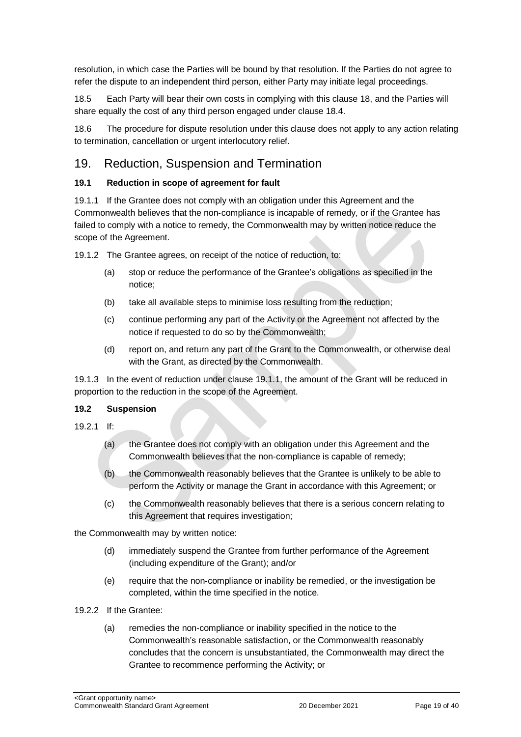resolution, in which case the Parties will be bound by that resolution. If the Parties do not agree to refer the dispute to an independent third person, either Party may initiate legal proceedings.

18.5 Each Party will bear their own costs in complying with this clause 18, and the Parties will share equally the cost of any third person engaged under clause 18.4.

18.6 The procedure for dispute resolution under this clause does not apply to any action relating to termination, cancellation or urgent interlocutory relief.

## 19. Reduction, Suspension and Termination

#### **19.1 Reduction in scope of agreement for fault**

19.1.1 If the Grantee does not comply with an obligation under this Agreement and the Commonwealth believes that the non‐compliance is incapable of remedy, or if the Grantee has failed to comply with a notice to remedy, the Commonwealth may by written notice reduce the scope of the Agreement.

19.1.2 The Grantee agrees, on receipt of the notice of reduction, to:

- (a) stop or reduce the performance of the Grantee's obligations as specified in the notice;
- (b) take all available steps to minimise loss resulting from the reduction;
- (c) continue performing any part of the Activity or the Agreement not affected by the notice if requested to do so by the Commonwealth;
- (d) report on, and return any part of the Grant to the Commonwealth, or otherwise deal with the Grant, as directed by the Commonwealth.

19.1.3 In the event of reduction under clause 19.1.1, the amount of the Grant will be reduced in proportion to the reduction in the scope of the Agreement.

#### **19.2 Suspension**

- $19.21$  If:
	- (a) the Grantee does not comply with an obligation under this Agreement and the Commonwealth believes that the non‐compliance is capable of remedy;
	- (b) the Commonwealth reasonably believes that the Grantee is unlikely to be able to perform the Activity or manage the Grant in accordance with this Agreement; or
	- (c) the Commonwealth reasonably believes that there is a serious concern relating to this Agreement that requires investigation;

the Commonwealth may by written notice:

- (d) immediately suspend the Grantee from further performance of the Agreement (including expenditure of the Grant); and/or
- (e) require that the non‐compliance or inability be remedied, or the investigation be completed, within the time specified in the notice.
- 19.2.2 If the Grantee:
	- (a) remedies the non‐compliance or inability specified in the notice to the Commonwealth's reasonable satisfaction, or the Commonwealth reasonably concludes that the concern is unsubstantiated, the Commonwealth may direct the Grantee to recommence performing the Activity; or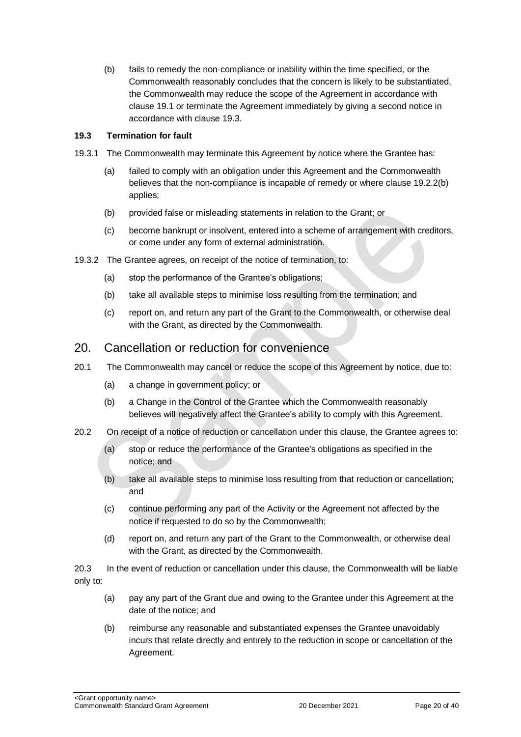(b) fails to remedy the non‐compliance or inability within the time specified, or the Commonwealth reasonably concludes that the concern is likely to be substantiated, the Commonwealth may reduce the scope of the Agreement in accordance with clause 19.1 or terminate the Agreement immediately by giving a second notice in accordance with clause 19.3.

#### **19.3 Termination for fault**

- 19.3.1 The Commonwealth may terminate this Agreement by notice where the Grantee has:
	- (a) failed to comply with an obligation under this Agreement and the Commonwealth believes that the non-compliance is incapable of remedy or where clause 19.2.2(b) applies;
	- (b) provided false or misleading statements in relation to the Grant; or
	- (c) become bankrupt or insolvent, entered into a scheme of arrangement with creditors, or come under any form of external administration.
- 19.3.2 The Grantee agrees, on receipt of the notice of termination, to:
	- (a) stop the performance of the Grantee's obligations;
	- (b) take all available steps to minimise loss resulting from the termination; and
	- (c) report on, and return any part of the Grant to the Commonwealth, or otherwise deal with the Grant, as directed by the Commonwealth.

#### 20. Cancellation or reduction for convenience

- 20.1 The Commonwealth may cancel or reduce the scope of this Agreement by notice, due to:
	- (a) a change in government policy; or
	- (b) a Change in the Control of the Grantee which the Commonwealth reasonably believes will negatively affect the Grantee's ability to comply with this Agreement.
- 20.2 On receipt of a notice of reduction or cancellation under this clause, the Grantee agrees to:
	- (a) stop or reduce the performance of the Grantee's obligations as specified in the notice; and
	- (b) take all available steps to minimise loss resulting from that reduction or cancellation; and
	- (c) continue performing any part of the Activity or the Agreement not affected by the notice if requested to do so by the Commonwealth;
	- (d) report on, and return any part of the Grant to the Commonwealth, or otherwise deal with the Grant, as directed by the Commonwealth.

20.3 In the event of reduction or cancellation under this clause, the Commonwealth will be liable only to:

- (a) pay any part of the Grant due and owing to the Grantee under this Agreement at the date of the notice; and
- (b) reimburse any reasonable and substantiated expenses the Grantee unavoidably incurs that relate directly and entirely to the reduction in scope or cancellation of the Agreement.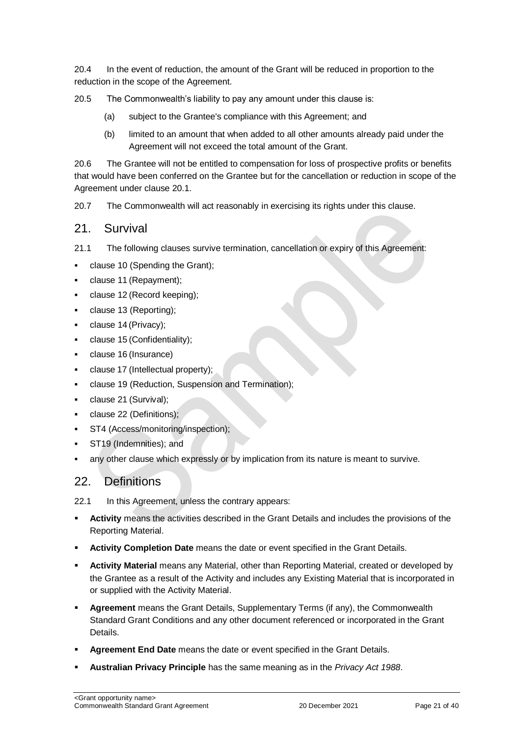20.4 In the event of reduction, the amount of the Grant will be reduced in proportion to the reduction in the scope of the Agreement.

20.5 The Commonwealth's liability to pay any amount under this clause is:

- (a) subject to the Grantee's compliance with this Agreement; and
- (b) limited to an amount that when added to all other amounts already paid under the Agreement will not exceed the total amount of the Grant.

20.6 The Grantee will not be entitled to compensation for loss of prospective profits or benefits that would have been conferred on the Grantee but for the cancellation or reduction in scope of the Agreement under clause 20.1.

20.7 The Commonwealth will act reasonably in exercising its rights under this clause.

#### 21. Survival

21.1 The following clauses survive termination, cancellation or expiry of this Agreement:

- clause 10 (Spending the Grant);
- clause 11 (Repayment);
- clause 12 (Record keeping);
- clause 13 (Reporting);
- clause 14 (Privacy);
- clause 15 (Confidentiality);
- clause 16 (Insurance)
- clause 17 (Intellectual property);
- clause 19 (Reduction, Suspension and Termination);
- clause 21 (Survival);
- clause 22 (Definitions);
- ST4 (Access/monitoring/inspection);
- ST19 (Indemnities); and
- any other clause which expressly or by implication from its nature is meant to survive.

## 22. Definitions

22.1 In this Agreement, unless the contrary appears:

- **Activity** means the activities described in the Grant Details and includes the provisions of the Reporting Material.
- **Activity Completion Date** means the date or event specified in the Grant Details.
- **Activity Material** means any Material, other than Reporting Material, created or developed by the Grantee as a result of the Activity and includes any Existing Material that is incorporated in or supplied with the Activity Material.
- **Agreement** means the Grant Details, Supplementary Terms (if any), the Commonwealth Standard Grant Conditions and any other document referenced or incorporated in the Grant Details.
- **Agreement End Date** means the date or event specified in the Grant Details.
- **Australian Privacy Principle** has the same meaning as in the *Privacy Act 1988*.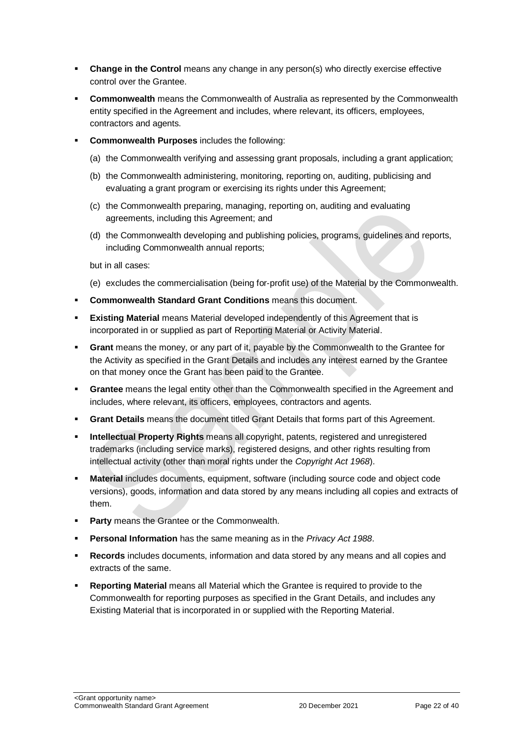- **Change in the Control** means any change in any person(s) who directly exercise effective control over the Grantee.
- **Commonwealth** means the Commonwealth of Australia as represented by the Commonwealth entity specified in the Agreement and includes, where relevant, its officers, employees, contractors and agents.
- **Commonwealth Purposes** includes the following:
	- (a) the Commonwealth verifying and assessing grant proposals, including a grant application;
	- (b) the Commonwealth administering, monitoring, reporting on, auditing, publicising and evaluating a grant program or exercising its rights under this Agreement;
	- (c) the Commonwealth preparing, managing, reporting on, auditing and evaluating agreements, including this Agreement; and
	- (d) the Commonwealth developing and publishing policies, programs, guidelines and reports, including Commonwealth annual reports;

but in all cases:

- (e) excludes the commercialisation (being for‐profit use) of the Material by the Commonwealth.
- **Commonwealth Standard Grant Conditions** means this document.
- **Existing Material** means Material developed independently of this Agreement that is incorporated in or supplied as part of Reporting Material or Activity Material.
- **Grant** means the money, or any part of it, payable by the Commonwealth to the Grantee for the Activity as specified in the Grant Details and includes any interest earned by the Grantee on that money once the Grant has been paid to the Grantee.
- **Grantee** means the legal entity other than the Commonwealth specified in the Agreement and includes, where relevant, its officers, employees, contractors and agents.
- **Grant Details** means the document titled Grant Details that forms part of this Agreement.
- **Intellectual Property Rights** means all copyright, patents, registered and unregistered trademarks (including service marks), registered designs, and other rights resulting from intellectual activity (other than moral rights under the *Copyright Act 1968*).
- **Material** includes documents, equipment, software (including source code and object code versions), goods, information and data stored by any means including all copies and extracts of them.
- **Party** means the Grantee or the Commonwealth.
- **Personal Information** has the same meaning as in the *Privacy Act 1988*.
- **Records** includes documents, information and data stored by any means and all copies and extracts of the same.
- **Reporting Material** means all Material which the Grantee is required to provide to the Commonwealth for reporting purposes as specified in the Grant Details, and includes any Existing Material that is incorporated in or supplied with the Reporting Material.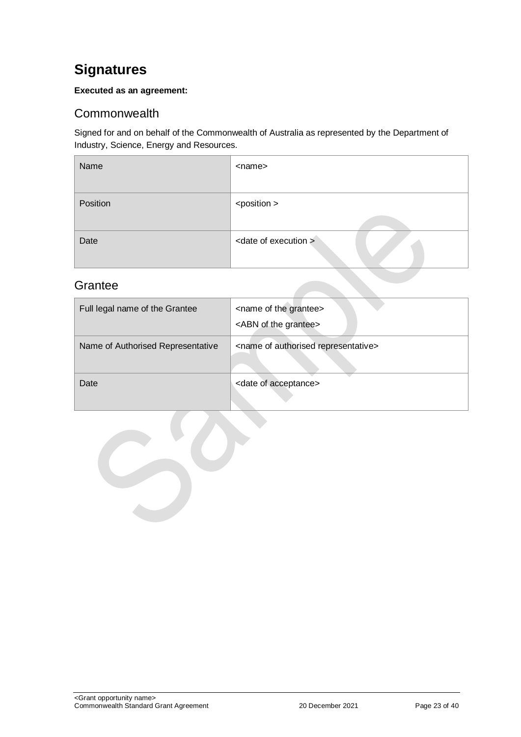## <span id="page-22-0"></span>**Signatures**

#### **Executed as an agreement:**

## <span id="page-22-1"></span>**Commonwealth**

Signed for and on behalf of the Commonwealth of Australia as represented by the Department of Industry, Science, Energy and Resources.

| Name     | <name></name>                    |
|----------|----------------------------------|
| Position | <position></position>            |
| Date     | <date execution="" of=""></date> |

## <span id="page-22-2"></span>**Grantee**

| Full legal name of the Grantee    | <name grantee="" of="" the=""><br/><abn grantee="" of="" the=""></abn></name> |
|-----------------------------------|-------------------------------------------------------------------------------|
| Name of Authorised Representative | <name authorised="" of="" representative=""></name>                           |
| Date                              | <date acceptance="" of=""></date>                                             |

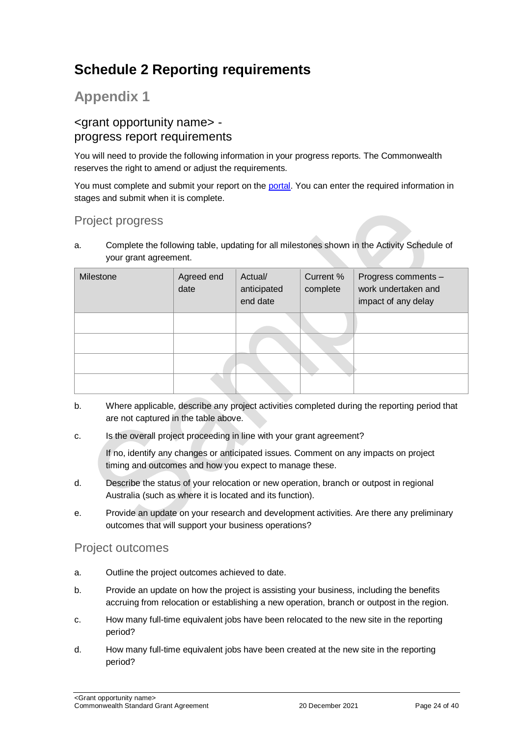## <span id="page-23-0"></span>**Schedule 2 Reporting requirements**

## **Appendix 1**

## <grant opportunity name> progress report requirements

You will need to provide the following information in your progress reports. The Commonwealth reserves the right to amend or adjust the requirements.

You must complete and submit your report on the [portal.](https://portal.business.gov.au/) You can enter the required information in stages and submit when it is complete.

## Project progress

a. Complete the following table, updating for all milestones shown in the Activity Schedule of your grant agreement.

| Milestone | Agreed end<br>date | Actual/<br>anticipated<br>end date | Current %<br>complete | Progress comments -<br>work undertaken and<br>impact of any delay |
|-----------|--------------------|------------------------------------|-----------------------|-------------------------------------------------------------------|
|           |                    |                                    |                       |                                                                   |
|           |                    |                                    |                       |                                                                   |
|           |                    |                                    |                       |                                                                   |
|           |                    |                                    |                       |                                                                   |

- b. Where applicable, describe any project activities completed during the reporting period that are not captured in the table above.
- c. Is the overall project proceeding in line with your grant agreement?

If no, identify any changes or anticipated issues. Comment on any impacts on project timing and outcomes and how you expect to manage these.

- d. Describe the status of your relocation or new operation, branch or outpost in regional Australia (such as where it is located and its function).
- e. Provide an update on your research and development activities. Are there any preliminary outcomes that will support your business operations?

#### Project outcomes

- a. Outline the project outcomes achieved to date.
- b. Provide an update on how the project is assisting your business, including the benefits accruing from relocation or establishing a new operation, branch or outpost in the region.
- c. How many full-time equivalent jobs have been relocated to the new site in the reporting period?
- d. How many full-time equivalent jobs have been created at the new site in the reporting period?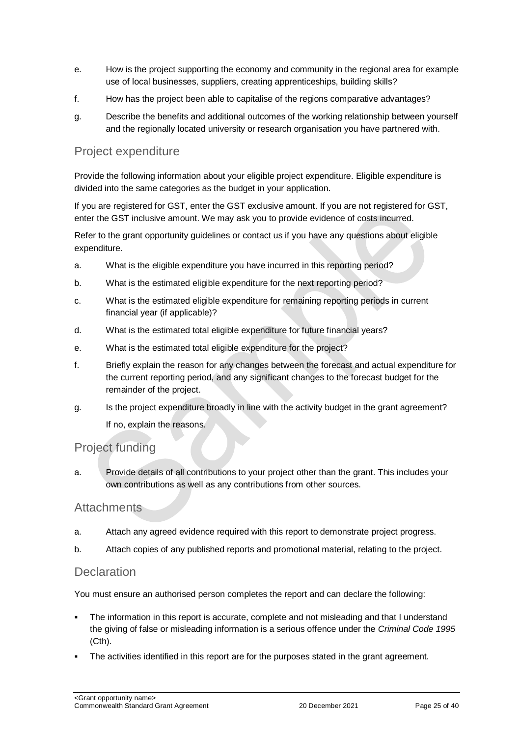- e. How is the project supporting the economy and community in the regional area for example use of local businesses, suppliers, creating apprenticeships, building skills?
- f. How has the project been able to capitalise of the regions comparative advantages?
- g. Describe the benefits and additional outcomes of the working relationship between yourself and the regionally located university or research organisation you have partnered with.

#### Project expenditure

Provide the following information about your eligible project expenditure. Eligible expenditure is divided into the same categories as the budget in your application.

If you are registered for GST, enter the GST exclusive amount. If you are not registered for GST, enter the GST inclusive amount. We may ask you to provide evidence of costs incurred.

Refer to the grant opportunity guidelines or contact us if you have any questions about eligible expenditure.

- a. What is the eligible expenditure you have incurred in this reporting period?
- b. What is the estimated eligible expenditure for the next reporting period?
- c. What is the estimated eligible expenditure for remaining reporting periods in current financial year (if applicable)?
- d. What is the estimated total eligible expenditure for future financial years?
- e. What is the estimated total eligible expenditure for the project?
- f. Briefly explain the reason for any changes between the forecast and actual expenditure for the current reporting period, and any significant changes to the forecast budget for the remainder of the project.
- g. Is the project expenditure broadly in line with the activity budget in the grant agreement? If no, explain the reasons.

#### Project funding

a. Provide details of all contributions to your project other than the grant. This includes your own contributions as well as any contributions from other sources.

#### **Attachments**

- a. Attach any agreed evidence required with this report to demonstrate project progress.
- b. Attach copies of any published reports and promotional material, relating to the project.

#### **Declaration**

You must ensure an authorised person completes the report and can declare the following:

- The information in this report is accurate, complete and not misleading and that I understand the giving of false or misleading information is a serious offence under the *Criminal Code 1995* (Cth).
- The activities identified in this report are for the purposes stated in the grant agreement.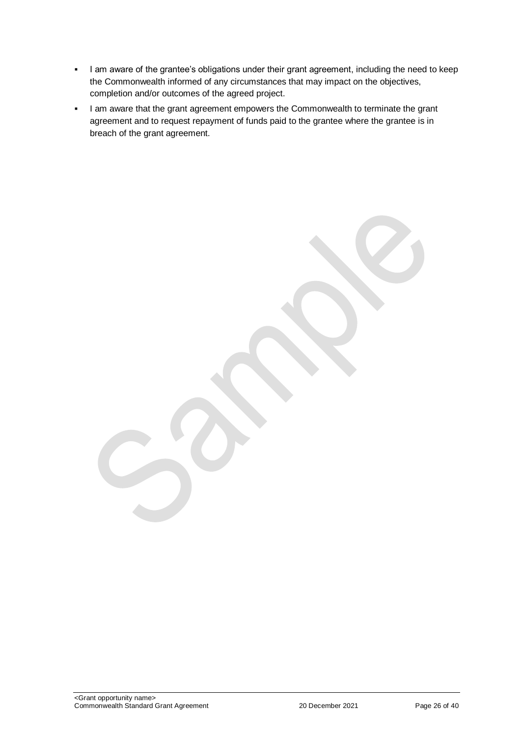- I am aware of the grantee's obligations under their grant agreement, including the need to keep the Commonwealth informed of any circumstances that may impact on the objectives, completion and/or outcomes of the agreed project.
- I am aware that the grant agreement empowers the Commonwealth to terminate the grant agreement and to request repayment of funds paid to the grantee where the grantee is in breach of the grant agreement.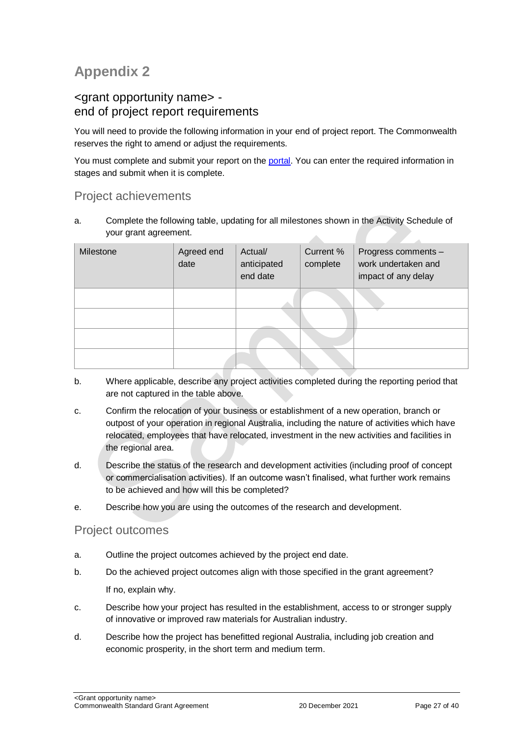## **Appendix 2**

## <grant opportunity name> end of project report requirements

You will need to provide the following information in your end of project report. The Commonwealth reserves the right to amend or adjust the requirements.

You must complete and submit your report on the [portal.](https://portal.business.gov.au/) You can enter the required information in stages and submit when it is complete.

### Project achievements

a. Complete the following table, updating for all milestones shown in the Activity Schedule of your grant agreement. zh.

| Milestone | Agreed end<br>date | Actual/<br>anticipated<br>end date | Current %<br>complete | Progress comments -<br>work undertaken and<br>impact of any delay |
|-----------|--------------------|------------------------------------|-----------------------|-------------------------------------------------------------------|
|           |                    |                                    |                       |                                                                   |
|           |                    |                                    |                       |                                                                   |
|           |                    |                                    |                       |                                                                   |
|           |                    |                                    |                       |                                                                   |

- b. Where applicable, describe any project activities completed during the reporting period that are not captured in the table above.
- c. Confirm the relocation of your business or establishment of a new operation, branch or outpost of your operation in regional Australia, including the nature of activities which have relocated, employees that have relocated, investment in the new activities and facilities in the regional area.
- d. Describe the status of the research and development activities (including proof of concept or commercialisation activities). If an outcome wasn't finalised, what further work remains to be achieved and how will this be completed?
- e. Describe how you are using the outcomes of the research and development.

#### Project outcomes

- a. Outline the project outcomes achieved by the project end date.
- b. Do the achieved project outcomes align with those specified in the grant agreement? If no, explain why.
- c. Describe how your project has resulted in the establishment, access to or stronger supply of innovative or improved raw materials for Australian industry.
- d. Describe how the project has benefitted regional Australia, including job creation and economic prosperity, in the short term and medium term.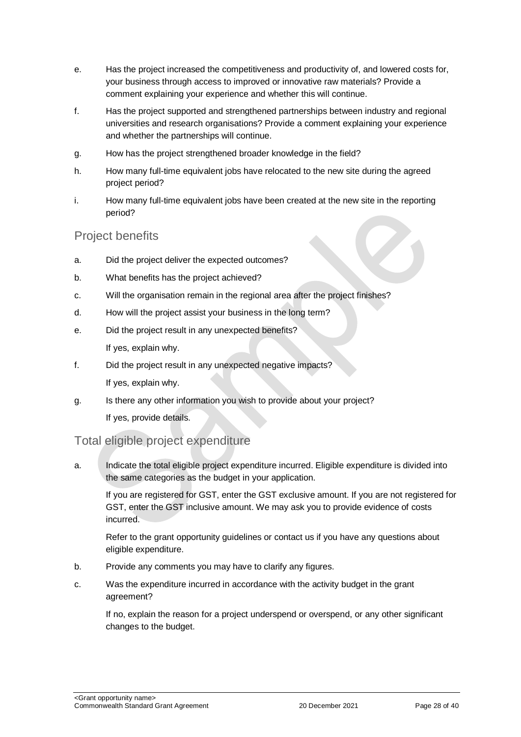- e. Has the project increased the competitiveness and productivity of, and lowered costs for, your business through access to improved or innovative raw materials? Provide a comment explaining your experience and whether this will continue.
- f. Has the project supported and strengthened partnerships between industry and regional universities and research organisations? Provide a comment explaining your experience and whether the partnerships will continue.
- g. How has the project strengthened broader knowledge in the field?
- h. How many full-time equivalent jobs have relocated to the new site during the agreed project period?
- i. How many full-time equivalent jobs have been created at the new site in the reporting period?

## Project benefits

- a. Did the project deliver the expected outcomes?
- b. What benefits has the project achieved?
- c. Will the organisation remain in the regional area after the project finishes?
- d. How will the project assist your business in the long term?
- e. Did the project result in any unexpected benefits? If yes, explain why.
- f. Did the project result in any unexpected negative impacts? If yes, explain why.
- g. Is there any other information you wish to provide about your project? If yes, provide details.

## Total eligible project expenditure

a. Indicate the total eligible project expenditure incurred. Eligible expenditure is divided into the same categories as the budget in your application.

If you are registered for GST, enter the GST exclusive amount. If you are not registered for GST, enter the GST inclusive amount. We may ask you to provide evidence of costs incurred.

Refer to the grant opportunity guidelines or contact us if you have any questions about eligible expenditure.

- b. Provide any comments you may have to clarify any figures.
- c. Was the expenditure incurred in accordance with the activity budget in the grant agreement?

If no, explain the reason for a project underspend or overspend, or any other significant changes to the budget.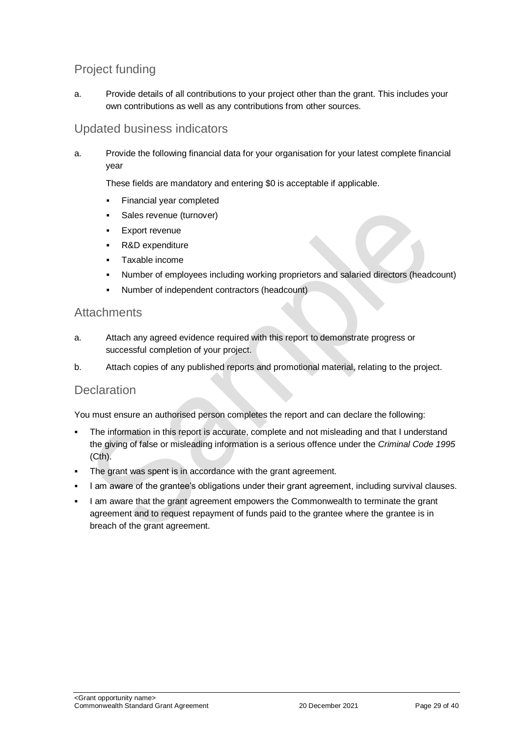## Project funding

a. Provide details of all contributions to your project other than the grant. This includes your own contributions as well as any contributions from other sources.

### Updated business indicators

a. Provide the following financial data for your organisation for your latest complete financial year

These fields are mandatory and entering \$0 is acceptable if applicable.

- Financial year completed
- **Sales revenue (turnover)**
- **Export revenue**
- R&D expenditure
- Taxable income
- Number of employees including working proprietors and salaried directors (headcount)
- Number of independent contractors (headcount)

#### **Attachments**

- a. Attach any agreed evidence required with this report to demonstrate progress or successful completion of your project.
- b. Attach copies of any published reports and promotional material, relating to the project.

#### **Declaration**

You must ensure an authorised person completes the report and can declare the following:

- The information in this report is accurate, complete and not misleading and that I understand the giving of false or misleading information is a serious offence under the *Criminal Code 1995* (Cth).
- The grant was spent is in accordance with the grant agreement.
- I am aware of the grantee's obligations under their grant agreement, including survival clauses.
- I am aware that the grant agreement empowers the Commonwealth to terminate the grant agreement and to request repayment of funds paid to the grantee where the grantee is in breach of the grant agreement.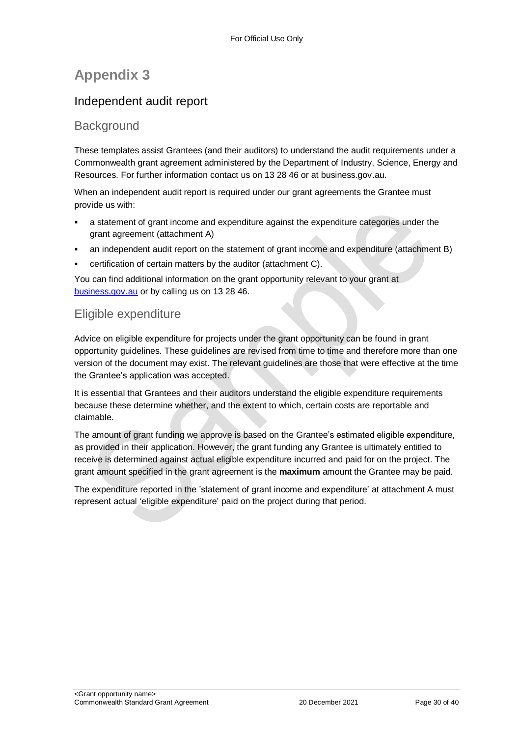## **Appendix 3**

## Independent audit report

### **Background**

These templates assist Grantees (and their auditors) to understand the audit requirements under a Commonwealth grant agreement administered by the Department of Industry, Science, Energy and Resources. For further information contact us on 13 28 46 or at business.gov.au.

When an independent audit report is required under our grant agreements the Grantee must provide us with:

- a statement of grant income and expenditure against the expenditure categories under the grant agreement (attachment A)
- an independent audit report on the statement of grant income and expenditure (attachment B)
- certification of certain matters by the auditor (attachment C).

You can find additional information on the grant opportunity relevant to your grant at [business.gov.au](https://www.business.gov.au/) or by calling us on 13 28 46.

## Eligible expenditure

Advice on eligible expenditure for projects under the grant opportunity can be found in grant opportunity guidelines. These guidelines are revised from time to time and therefore more than one version of the document may exist. The relevant guidelines are those that were effective at the time the Grantee's application was accepted.

It is essential that Grantees and their auditors understand the eligible expenditure requirements because these determine whether, and the extent to which, certain costs are reportable and claimable.

The amount of grant funding we approve is based on the Grantee's estimated eligible expenditure, as provided in their application. However, the grant funding any Grantee is ultimately entitled to receive is determined against actual eligible expenditure incurred and paid for on the project. The grant amount specified in the grant agreement is the **maximum** amount the Grantee may be paid.

The expenditure reported in the 'statement of grant income and expenditure' at attachment A must represent actual 'eligible expenditure' paid on the project during that period.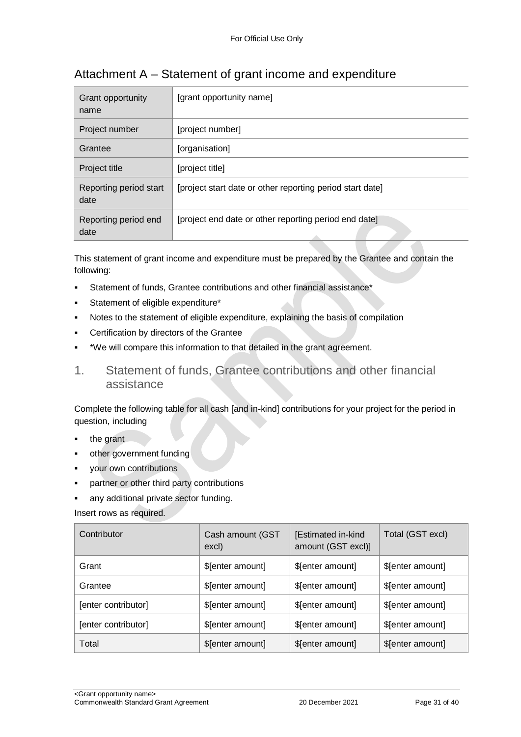| Grant opportunity<br>name      | [grant opportunity name]                                  |
|--------------------------------|-----------------------------------------------------------|
| Project number                 | [project number]                                          |
| Grantee                        | [organisation]                                            |
| Project title                  | [project title]                                           |
| Reporting period start<br>date | [project start date or other reporting period start date] |
| Reporting period end<br>date   | [project end date or other reporting period end date]     |

## Attachment A – Statement of grant income and expenditure

This statement of grant income and expenditure must be prepared by the Grantee and contain the following:

- Statement of funds, Grantee contributions and other financial assistance\*
- Statement of eligible expenditure\*
- Notes to the statement of eligible expenditure, explaining the basis of compilation
- Certification by directors of the Grantee
- \*We will compare this information to that detailed in the grant agreement.
- 1. Statement of funds, Grantee contributions and other financial assistance

Complete the following table for all cash [and in-kind] contributions for your project for the period in question, including

- the grant
- other government funding
- your own contributions
- partner or other third party contributions
- any additional private sector funding.

Insert rows as required.

| Contributor         | Cash amount (GST<br>excl) | [Estimated in-kind<br>amount (GST excl)] | Total (GST excl) |
|---------------------|---------------------------|------------------------------------------|------------------|
| Grant               | \$[enter amount]          | \$[enter amount]                         | \$[enter amount] |
| Grantee             | \$[enter amount]          | \$[enter amount]                         | \$[enter amount] |
| [enter contributor] | \$[enter amount]          | \$[enter amount]                         | \$[enter amount] |
| [enter contributor] | \$[enter amount]          | \$[enter amount]                         | \$[enter amount] |
| Total               | \$[enter amount]          | \$[enter amount]                         | \$[enter amount] |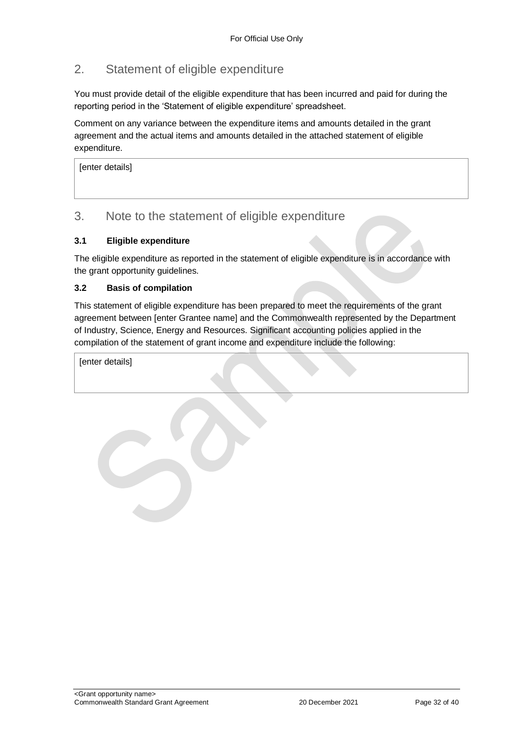## 2. Statement of eligible expenditure

You must provide detail of the eligible expenditure that has been incurred and paid for during the reporting period in the 'Statement of eligible expenditure' spreadsheet.

Comment on any variance between the expenditure items and amounts detailed in the grant agreement and the actual items and amounts detailed in the attached statement of eligible expenditure.

[enter details]

### 3. Note to the statement of eligible expenditure

#### **3.1 Eligible expenditure**

The eligible expenditure as reported in the statement of eligible expenditure is in accordance with the grant opportunity guidelines.

#### **3.2 Basis of compilation**

This statement of eligible expenditure has been prepared to meet the requirements of the grant agreement between [enter Grantee name] and the Commonwealth represented by the Department of Industry, Science, Energy and Resources. Significant accounting policies applied in the compilation of the statement of grant income and expenditure include the following:

[enter details]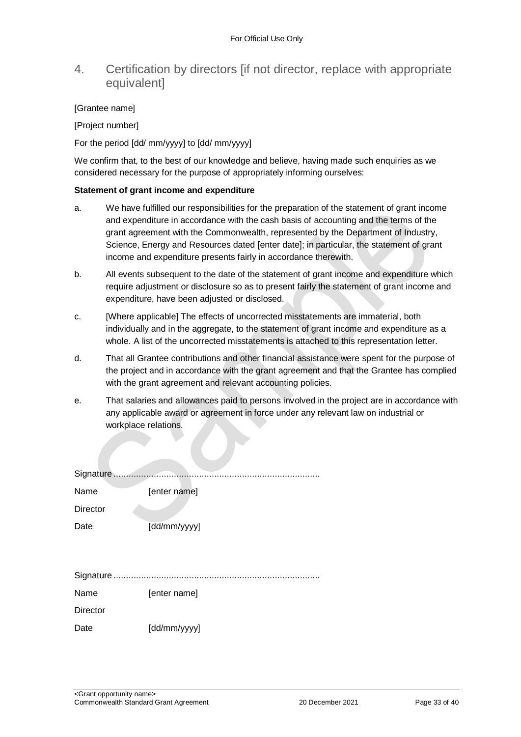## 4. Certification by directors [if not director, replace with appropriate equivalent]

#### [Grantee name]

[Project number]

For the period [dd/ mm/yyyy] to [dd/ mm/yyyy]

We confirm that, to the best of our knowledge and believe, having made such enquiries as we considered necessary for the purpose of appropriately informing ourselves:

#### **Statement of grant income and expenditure**

- a. We have fulfilled our responsibilities for the preparation of the statement of grant income and expenditure in accordance with the cash basis of accounting and the terms of the grant agreement with the Commonwealth, represented by the Department of Industry, Science, Energy and Resources dated [enter date]; in particular, the statement of grant income and expenditure presents fairly in accordance therewith.
- b. All events subsequent to the date of the statement of grant income and expenditure which require adjustment or disclosure so as to present fairly the statement of grant income and expenditure, have been adjusted or disclosed.
- c. [Where applicable] The effects of uncorrected misstatements are immaterial, both individually and in the aggregate, to the statement of grant income and expenditure as a whole. A list of the uncorrected misstatements is attached to this representation letter.
- d. That all Grantee contributions and other financial assistance were spent for the purpose of the project and in accordance with the grant agreement and that the Grantee has complied with the grant agreement and relevant accounting policies.
- e. That salaries and allowances paid to persons involved in the project are in accordance with any applicable award or agreement in force under any relevant law on industrial or workplace relations.

| Name            | [enter name] |
|-----------------|--------------|
| Director        |              |
| Date            | [dd/mm/yyyy] |
|                 |              |
|                 |              |
|                 |              |
| Name            | [enter name] |
| <b>Director</b> |              |
| Date            | [dd/mm/yyyy] |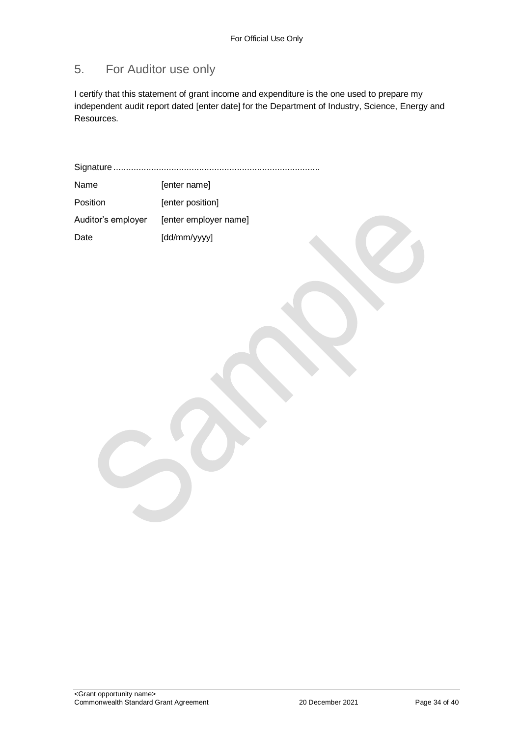## 5. For Auditor use only

I certify that this statement of grant income and expenditure is the one used to prepare my independent audit report dated [enter date] for the Department of Industry, Science, Energy and Resources.

Signature ..................................................................................

| Name               | [enter name]          |
|--------------------|-----------------------|
| Position           | [enter position]      |
| Auditor's employer | [enter employer name] |
| Date               | [dd/mm/yyyy]          |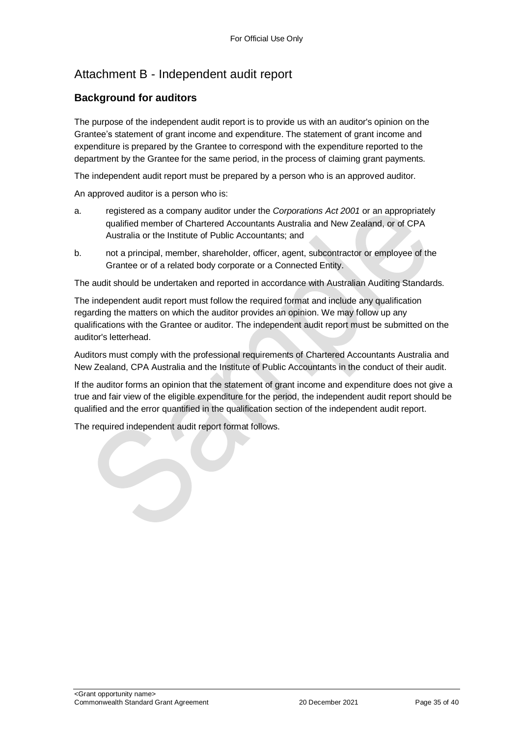## Attachment B - Independent audit report

#### **Background for auditors**

The purpose of the independent audit report is to provide us with an auditor's opinion on the Grantee's statement of grant income and expenditure. The statement of grant income and expenditure is prepared by the Grantee to correspond with the expenditure reported to the department by the Grantee for the same period, in the process of claiming grant payments.

The independent audit report must be prepared by a person who is an approved auditor.

An approved auditor is a person who is:

- a. registered as a company auditor under the *Corporations Act 2001* or an appropriately qualified member of Chartered Accountants Australia and New Zealand, or of CPA Australia or the Institute of Public Accountants; and
- b. not a principal, member, shareholder, officer, agent, subcontractor or employee of the Grantee or of a related body corporate or a Connected Entity.

The audit should be undertaken and reported in accordance with Australian Auditing Standards.

The independent audit report must follow the required format and include any qualification regarding the matters on which the auditor provides an opinion. We may follow up any qualifications with the Grantee or auditor. The independent audit report must be submitted on the auditor's letterhead.

Auditors must comply with the professional requirements of Chartered Accountants Australia and New Zealand, CPA Australia and the Institute of Public Accountants in the conduct of their audit.

If the auditor forms an opinion that the statement of grant income and expenditure does not give a true and fair view of the eligible expenditure for the period, the independent audit report should be qualified and the error quantified in the qualification section of the independent audit report.

The required independent audit report format follows.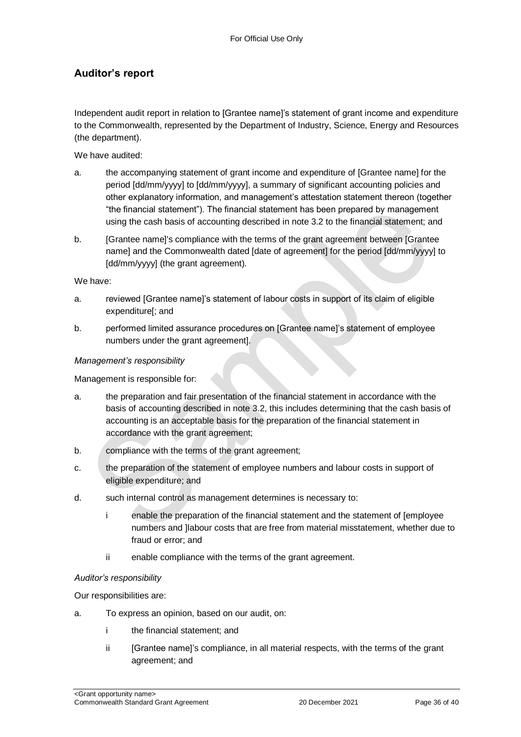#### **Auditor's report**

Independent audit report in relation to [Grantee name]'s statement of grant income and expenditure to the Commonwealth, represented by the Department of Industry, Science, Energy and Resources (the department).

We have audited:

- a. the accompanying statement of grant income and expenditure of [Grantee name] for the period [dd/mm/yyyy] to [dd/mm/yyyy], a summary of significant accounting policies and other explanatory information, and management's attestation statement thereon (together "the financial statement"). The financial statement has been prepared by management using the cash basis of accounting described in note 3.2 to the financial statement; and
- b. [Grantee name]'s compliance with the terms of the grant agreement between [Grantee name] and the Commonwealth dated [date of agreement] for the period [dd/mm/yyyy] to [dd/mm/yyyy] (the grant agreement).

We have:

- a. reviewed [Grantee name]'s statement of labour costs in support of its claim of eligible expenditure[; and
- b. performed limited assurance procedures on [Grantee name]'s statement of employee numbers under the grant agreement].

#### *Management's responsibility*

Management is responsible for:

- a. the preparation and fair presentation of the financial statement in accordance with the basis of accounting described in note 3.2, this includes determining that the cash basis of accounting is an acceptable basis for the preparation of the financial statement in accordance with the grant agreement;
- b. compliance with the terms of the grant agreement;
- c. the preparation of the statement of employee numbers and labour costs in support of eligible expenditure; and
- d. such internal control as management determines is necessary to:
	- i enable the preparation of the financial statement and the statement of [employee numbers and ]labour costs that are free from material misstatement, whether due to fraud or error; and
	- ii enable compliance with the terms of the grant agreement.

#### *Auditor's responsibility*

Our responsibilities are:

- a. To express an opinion, based on our audit, on:
	- i the financial statement; and
	- ii [Grantee name]'s compliance, in all material respects, with the terms of the grant agreement; and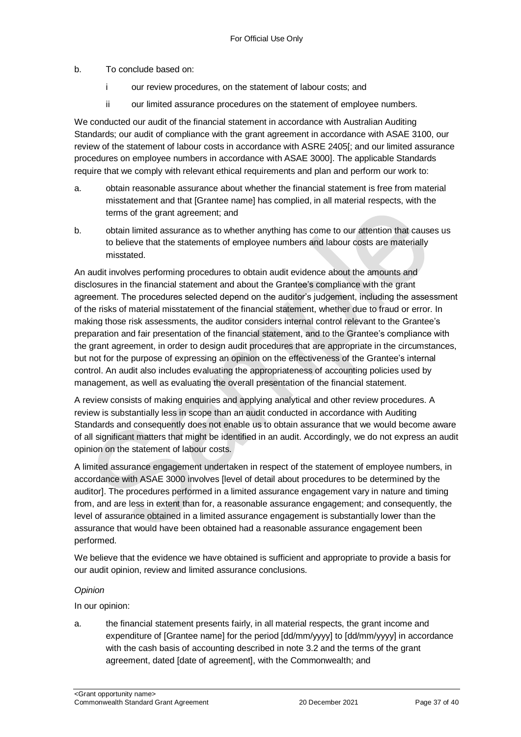b. To conclude based on:

- i our review procedures, on the statement of labour costs; and
- ii our limited assurance procedures on the statement of employee numbers.

We conducted our audit of the financial statement in accordance with Australian Auditing Standards; our audit of compliance with the grant agreement in accordance with ASAE 3100, our review of the statement of labour costs in accordance with ASRE 2405[; and our limited assurance procedures on employee numbers in accordance with ASAE 3000]. The applicable Standards require that we comply with relevant ethical requirements and plan and perform our work to:

- a. obtain reasonable assurance about whether the financial statement is free from material misstatement and that [Grantee name] has complied, in all material respects, with the terms of the grant agreement; and
- b. obtain limited assurance as to whether anything has come to our attention that causes us to believe that the statements of employee numbers and labour costs are materially misstated.

An audit involves performing procedures to obtain audit evidence about the amounts and disclosures in the financial statement and about the Grantee's compliance with the grant agreement. The procedures selected depend on the auditor's judgement, including the assessment of the risks of material misstatement of the financial statement, whether due to fraud or error. In making those risk assessments, the auditor considers internal control relevant to the Grantee's preparation and fair presentation of the financial statement, and to the Grantee's compliance with the grant agreement, in order to design audit procedures that are appropriate in the circumstances, but not for the purpose of expressing an opinion on the effectiveness of the Grantee's internal control. An audit also includes evaluating the appropriateness of accounting policies used by management, as well as evaluating the overall presentation of the financial statement.

A review consists of making enquiries and applying analytical and other review procedures. A review is substantially less in scope than an audit conducted in accordance with Auditing Standards and consequently does not enable us to obtain assurance that we would become aware of all significant matters that might be identified in an audit. Accordingly, we do not express an audit opinion on the statement of labour costs.

A limited assurance engagement undertaken in respect of the statement of employee numbers, in accordance with ASAE 3000 involves [level of detail about procedures to be determined by the auditor]. The procedures performed in a limited assurance engagement vary in nature and timing from, and are less in extent than for, a reasonable assurance engagement; and consequently, the level of assurance obtained in a limited assurance engagement is substantially lower than the assurance that would have been obtained had a reasonable assurance engagement been performed.

We believe that the evidence we have obtained is sufficient and appropriate to provide a basis for our audit opinion, review and limited assurance conclusions.

#### *Opinion*

In our opinion:

a. the financial statement presents fairly, in all material respects, the grant income and expenditure of [Grantee name] for the period [dd/mm/yyyy] to [dd/mm/yyyy] in accordance with the cash basis of accounting described in note 3.2 and the terms of the grant agreement, dated [date of agreement], with the Commonwealth; and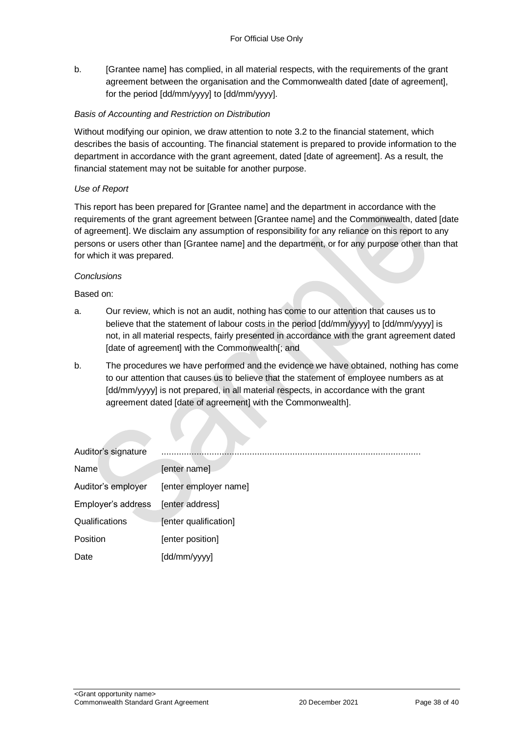b. [Grantee name] has complied, in all material respects, with the requirements of the grant agreement between the organisation and the Commonwealth dated [date of agreement], for the period [dd/mm/yyyy] to [dd/mm/yyyy].

#### *Basis of Accounting and Restriction on Distribution*

Without modifying our opinion, we draw attention to note 3.2 to the financial statement, which describes the basis of accounting. The financial statement is prepared to provide information to the department in accordance with the grant agreement, dated [date of agreement]. As a result, the financial statement may not be suitable for another purpose.

#### *Use of Report*

This report has been prepared for [Grantee name] and the department in accordance with the requirements of the grant agreement between [Grantee name] and the Commonwealth, dated [date of agreement]. We disclaim any assumption of responsibility for any reliance on this report to any persons or users other than [Grantee name] and the department, or for any purpose other than that for which it was prepared.

#### *Conclusions*

Based on:

- a. Our review, which is not an audit, nothing has come to our attention that causes us to believe that the statement of labour costs in the period [dd/mm/yyyy] to [dd/mm/yyyy] is not, in all material respects, fairly presented in accordance with the grant agreement dated [date of agreement] with the Commonwealth[; and
- b. The procedures we have performed and the evidence we have obtained, nothing has come to our attention that causes us to believe that the statement of employee numbers as at [dd/mm/yyyy] is not prepared, in all material respects, in accordance with the grant agreement dated [date of agreement] with the Commonwealth].

| Auditor's signature |                       |
|---------------------|-----------------------|
| Name                | [enter name]          |
| Auditor's employer  | [enter employer name] |
| Employer's address  | [enter address]       |
| Qualifications      | [enter qualification] |
| Position            | [enter position]      |
| Date                | [dd/mm/yyyy]          |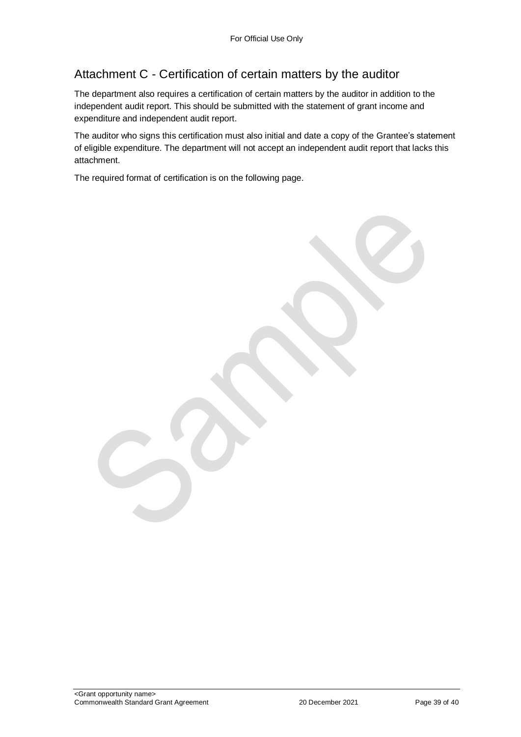## Attachment C - Certification of certain matters by the auditor

The department also requires a certification of certain matters by the auditor in addition to the independent audit report. This should be submitted with the statement of grant income and expenditure and independent audit report.

The auditor who signs this certification must also initial and date a copy of the Grantee's statement of eligible expenditure. The department will not accept an independent audit report that lacks this attachment.

The required format of certification is on the following page.